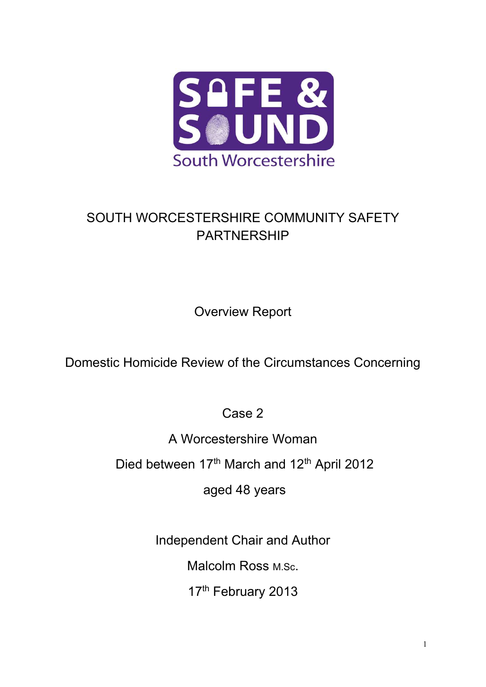

# SOUTH WORCESTERSHIRE COMMUNITY SAFETY PARTNERSHIP

Overview Report

Domestic Homicide Review of the Circumstances Concerning

Case 2

A Worcestershire Woman

Died between 17<sup>th</sup> March and 12<sup>th</sup> April 2012

aged 48 years

Independent Chair and Author

Malcolm Ross M.Sc.

17th February 2013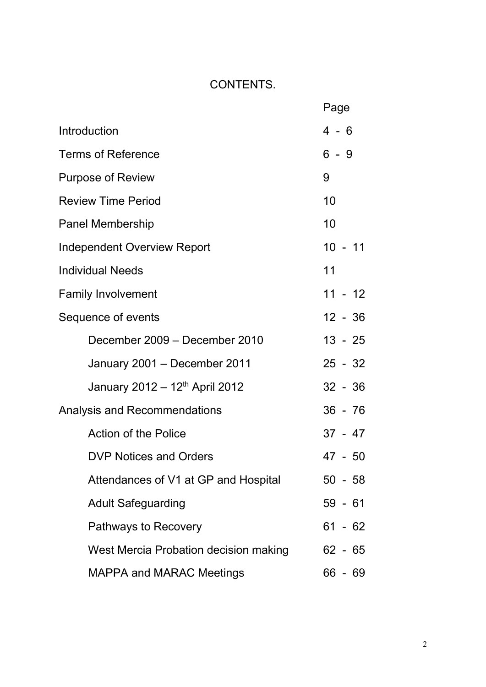## CONTENTS.

|                                            | Page      |
|--------------------------------------------|-----------|
| Introduction                               | 4 - 6     |
| <b>Terms of Reference</b>                  | $6 - 9$   |
| <b>Purpose of Review</b>                   | 9         |
| <b>Review Time Period</b>                  | 10        |
| <b>Panel Membership</b>                    | 10        |
| <b>Independent Overview Report</b>         | $10 - 11$ |
| <b>Individual Needs</b>                    | 11        |
| <b>Family Involvement</b>                  | $11 - 12$ |
| Sequence of events                         | $12 - 36$ |
| December 2009 - December 2010              | $13 - 25$ |
| January 2001 - December 2011               | $25 - 32$ |
| January 2012 – 12 <sup>th</sup> April 2012 | $32 - 36$ |
| Analysis and Recommendations               | $36 - 76$ |
| <b>Action of the Police</b>                | $37 - 47$ |
| <b>DVP Notices and Orders</b>              | 47 - 50   |
| Attendances of V1 at GP and Hospital       | $50 - 58$ |
| <b>Adult Safeguarding</b>                  | $59 - 61$ |
| Pathways to Recovery                       | $61 - 62$ |
| West Mercia Probation decision making      | 62 - 65   |
| <b>MAPPA and MARAC Meetings</b>            | 66 - 69   |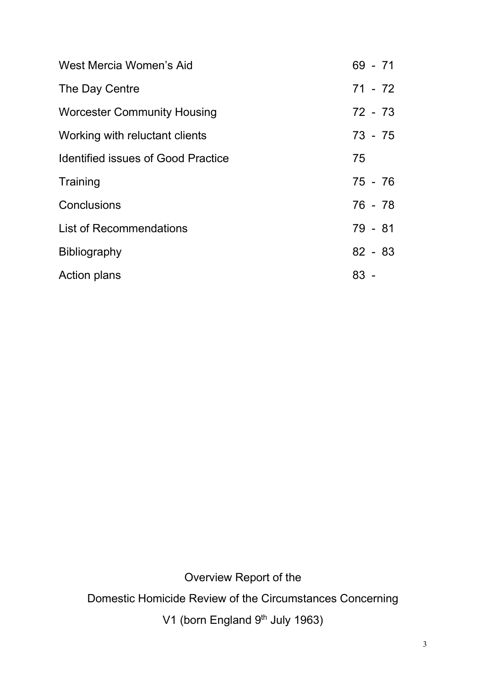| West Mercia Women's Aid                   | $69 - 71$ |
|-------------------------------------------|-----------|
| The Day Centre                            | $71 - 72$ |
| <b>Worcester Community Housing</b>        | 72 - 73   |
| Working with reluctant clients            | 73 - 75   |
| <b>Identified issues of Good Practice</b> | 75        |
| Training                                  | 75 - 76   |
| Conclusions                               | 76 - 78   |
| <b>List of Recommendations</b>            | 79 - 81   |
| <b>Bibliography</b>                       | $82 - 83$ |
| <b>Action plans</b>                       | 83 -      |

Overview Report of the Domestic Homicide Review of the Circumstances Concerning V1 (born England 9<sup>th</sup> July 1963)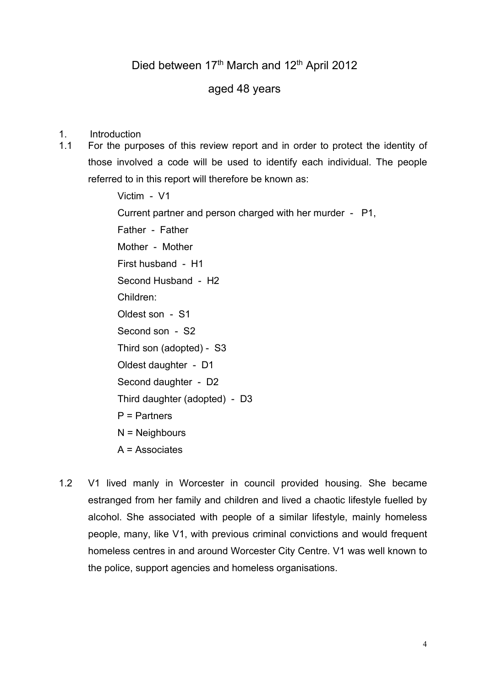## aged 48 years

- 1. Introduction
- 1.1 For the purposes of this review report and in order to protect the identity of those involved a code will be used to identify each individual. The people referred to in this report will therefore be known as:

Victim - V1 Current partner and person charged with her murder - P1, Father - Father Mother - Mother First husband - H1 Second Husband - H2 Children: Oldest son - S1 Second son - S2 Third son (adopted) - S3 Oldest daughter - D1 Second daughter - D2 Third daughter (adopted) - D3 P = Partners N = Neighbours A = Associates

1.2 V1 lived manly in Worcester in council provided housing. She became estranged from her family and children and lived a chaotic lifestyle fuelled by alcohol. She associated with people of a similar lifestyle, mainly homeless people, many, like V1, with previous criminal convictions and would frequent homeless centres in and around Worcester City Centre. V1 was well known to the police, support agencies and homeless organisations.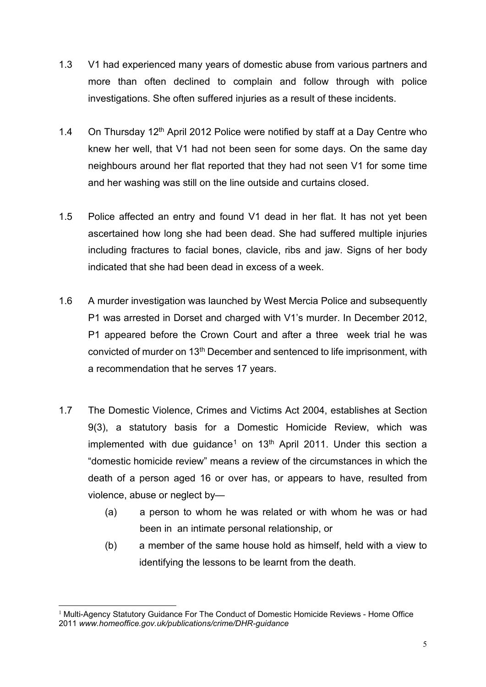- 1.3 V1 had experienced many years of domestic abuse from various partners and more than often declined to complain and follow through with police investigations. She often suffered injuries as a result of these incidents.
- 1.4 On Thursday 12<sup>th</sup> April 2012 Police were notified by staff at a Day Centre who knew her well, that V1 had not been seen for some days. On the same day neighbours around her flat reported that they had not seen V1 for some time and her washing was still on the line outside and curtains closed.
- 1.5 Police affected an entry and found V1 dead in her flat. It has not yet been ascertained how long she had been dead. She had suffered multiple injuries including fractures to facial bones, clavicle, ribs and jaw. Signs of her body indicated that she had been dead in excess of a week.
- 1.6 A murder investigation was launched by West Mercia Police and subsequently P1 was arrested in Dorset and charged with V1's murder. In December 2012, P1 appeared before the Crown Court and after a three week trial he was convicted of murder on 13<sup>th</sup> December and sentenced to life imprisonment, with a recommendation that he serves 17 years.
- 1.7 The Domestic Violence, Crimes and Victims Act 2004, establishes at Section 9(3), a statutory basis for a Domestic Homicide Review, which was implemented with due quidance<sup>[1](#page-4-0)</sup> on  $13<sup>th</sup>$  April 2011. Under this section a "domestic homicide review" means a review of the circumstances in which the death of a person aged 16 or over has, or appears to have, resulted from violence, abuse or neglect by—
	- (a) a person to whom he was related or with whom he was or had been in an intimate personal relationship, or
	- (b) a member of the same house hold as himself, held with a view to identifying the lessons to be learnt from the death.

<span id="page-4-0"></span> $1$  Multi-Agency Statutory Guidance For The Conduct of Domestic Homicide Reviews - Home Office 2011 *www.homeoffice.gov.uk/publications/crime/DHR-guidance*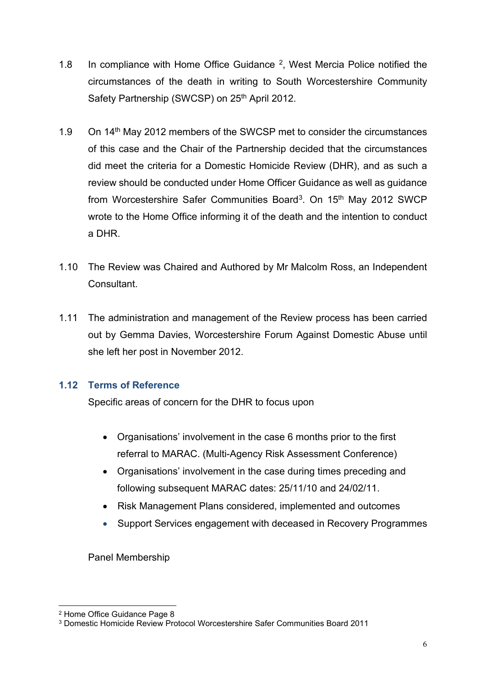- 1.8 In compliance with Home Office Guidance  $2$ , West Mercia Police notified the circumstances of the death in writing to South Worcestershire Community Safety Partnership (SWCSP) on 25<sup>th</sup> April 2012.
- 1.9 On 14<sup>th</sup> May 2012 members of the SWCSP met to consider the circumstances of this case and the Chair of the Partnership decided that the circumstances did meet the criteria for a Domestic Homicide Review (DHR), and as such a review should be conducted under Home Officer Guidance as well as guidance from Worcestershire Safer Communities Board<sup>3</sup>. On 15<sup>th</sup> May 2012 SWCP wrote to the Home Office informing it of the death and the intention to conduct a DHR.
- 1.10 The Review was Chaired and Authored by Mr Malcolm Ross, an Independent **Consultant**
- 1.11 The administration and management of the Review process has been carried out by Gemma Davies, Worcestershire Forum Against Domestic Abuse until she left her post in November 2012.

## **1.12 Terms of Reference**

Specific areas of concern for the DHR to focus upon

- Organisations' involvement in the case 6 months prior to the first referral to MARAC. (Multi-Agency Risk Assessment Conference)
- Organisations' involvement in the case during times preceding and following subsequent MARAC dates: 25/11/10 and 24/02/11.
- Risk Management Plans considered, implemented and outcomes
- Support Services engagement with deceased in Recovery Programmes

Panel Membership

<span id="page-5-0"></span><sup>2</sup> Home Office Guidance Page 8

<span id="page-5-1"></span><sup>3</sup> Domestic Homicide Review Protocol Worcestershire Safer Communities Board 2011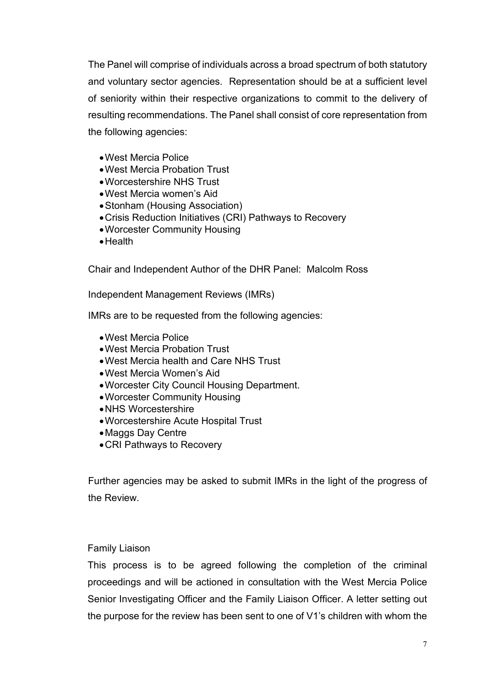The Panel will comprise of individuals across a broad spectrum of both statutory and voluntary sector agencies. Representation should be at a sufficient level of seniority within their respective organizations to commit to the delivery of resulting recommendations. The Panel shall consist of core representation from the following agencies:

- •West Mercia Police
- •West Mercia Probation Trust
- •Worcestershire NHS Trust
- •West Mercia women's Aid
- •Stonham (Housing Association)
- •Crisis Reduction Initiatives (CRI) Pathways to Recovery
- •Worcester Community Housing
- •Health

Chair and Independent Author of the DHR Panel: Malcolm Ross

Independent Management Reviews (IMRs)

IMRs are to be requested from the following agencies:

- •West Mercia Police
- •West Mercia Probation Trust
- •West Mercia health and Care NHS Trust
- •West Mercia Women's Aid
- •Worcester City Council Housing Department.
- •Worcester Community Housing
- •NHS Worcestershire
- •Worcestershire Acute Hospital Trust
- •Maggs Day Centre
- •CRI Pathways to Recovery

Further agencies may be asked to submit IMRs in the light of the progress of the Review.

## Family Liaison

This process is to be agreed following the completion of the criminal proceedings and will be actioned in consultation with the West Mercia Police Senior Investigating Officer and the Family Liaison Officer. A letter setting out the purpose for the review has been sent to one of V1's children with whom the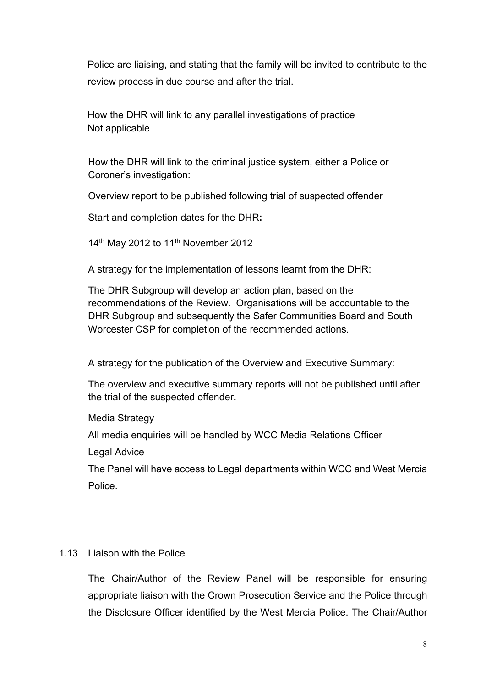Police are liaising, and stating that the family will be invited to contribute to the review process in due course and after the trial.

How the DHR will link to any parallel investigations of practice Not applicable

How the DHR will link to the criminal justice system, either a Police or Coroner's investigation:

Overview report to be published following trial of suspected offender

Start and completion dates for the DHR**:**

14<sup>th</sup> May 2012 to 11<sup>th</sup> November 2012

A strategy for the implementation of lessons learnt from the DHR:

The DHR Subgroup will develop an action plan, based on the recommendations of the Review. Organisations will be accountable to the DHR Subgroup and subsequently the Safer Communities Board and South Worcester CSP for completion of the recommended actions.

A strategy for the publication of the Overview and Executive Summary:

The overview and executive summary reports will not be published until after the trial of the suspected offender**.**

Media Strategy

All media enquiries will be handled by WCC Media Relations Officer

Legal Advice

The Panel will have access to Legal departments within WCC and West Mercia **Police** 

## 1.13 Liaison with the Police

The Chair/Author of the Review Panel will be responsible for ensuring appropriate liaison with the Crown Prosecution Service and the Police through the Disclosure Officer identified by the West Mercia Police. The Chair/Author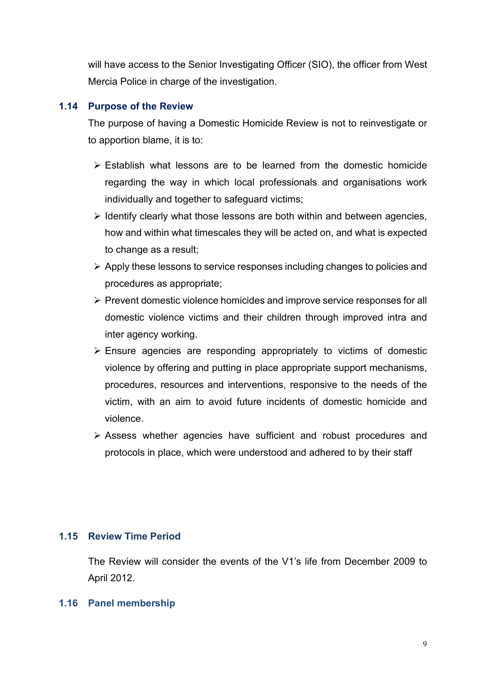will have access to the Senior Investigating Officer (SIO), the officer from West Mercia Police in charge of the investigation.

## **1.14 Purpose of the Review**

The purpose of having a Domestic Homicide Review is not to reinvestigate or to apportion blame, it is to:

- $\triangleright$  Establish what lessons are to be learned from the domestic homicide regarding the way in which local professionals and organisations work individually and together to safeguard victims;
- $\triangleright$  Identify clearly what those lessons are both within and between agencies, how and within what timescales they will be acted on, and what is expected to change as a result;
- $\triangleright$  Apply these lessons to service responses including changes to policies and procedures as appropriate;
- $\triangleright$  Prevent domestic violence homicides and improve service responses for all domestic violence victims and their children through improved intra and inter agency working.
- $\triangleright$  Ensure agencies are responding appropriately to victims of domestic violence by offering and putting in place appropriate support mechanisms, procedures, resources and interventions, responsive to the needs of the victim, with an aim to avoid future incidents of domestic homicide and violence.
- Assess whether agencies have sufficient and robust procedures and protocols in place, which were understood and adhered to by their staff

## **1.15 Review Time Period**

The Review will consider the events of the V1's life from December 2009 to April 2012.

#### **1.16 Panel membership**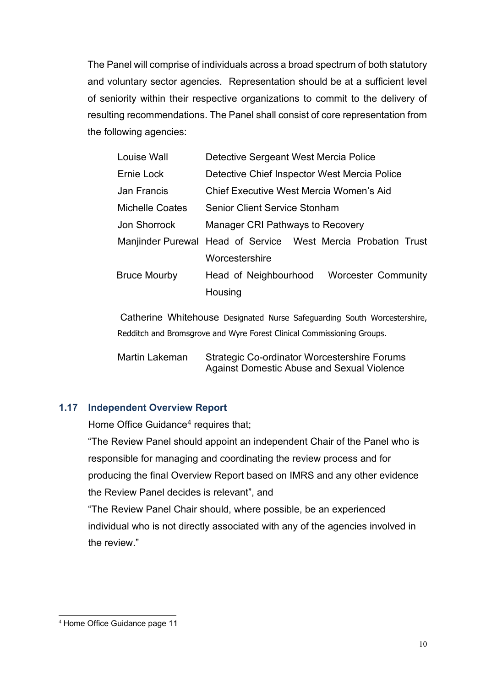The Panel will comprise of individuals across a broad spectrum of both statutory and voluntary sector agencies. Representation should be at a sufficient level of seniority within their respective organizations to commit to the delivery of resulting recommendations. The Panel shall consist of core representation from the following agencies:

| Louise Wall         | Detective Sergeant West Mercia Police                         |
|---------------------|---------------------------------------------------------------|
| Ernie Lock          | Detective Chief Inspector West Mercia Police                  |
| Jan Francis         | Chief Executive West Mercia Women's Aid                       |
| Michelle Coates     | <b>Senior Client Service Stonham</b>                          |
| Jon Shorrock        | Manager CRI Pathways to Recovery                              |
|                     | Manjinder Purewal Head of Service West Mercia Probation Trust |
|                     | Worcestershire                                                |
| <b>Bruce Mourby</b> | Head of Neighbourhood<br><b>Worcester Community</b>           |
|                     | Housing                                                       |
|                     |                                                               |

Catherine Whitehouse Designated Nurse Safeguarding South Worcestershire, Redditch and Bromsgrove and Wyre Forest Clinical Commissioning Groups.

Martin Lakeman Strategic Co-ordinator Worcestershire Forums Against Domestic Abuse and Sexual Violence

## **1.17 Independent Overview Report**

Home Office Guidance<sup>[4](#page-9-0)</sup> requires that;

"The Review Panel should appoint an independent Chair of the Panel who is responsible for managing and coordinating the review process and for producing the final Overview Report based on IMRS and any other evidence the Review Panel decides is relevant", and

"The Review Panel Chair should, where possible, be an experienced individual who is not directly associated with any of the agencies involved in the review"

<span id="page-9-0"></span><sup>4</sup> Home Office Guidance page 11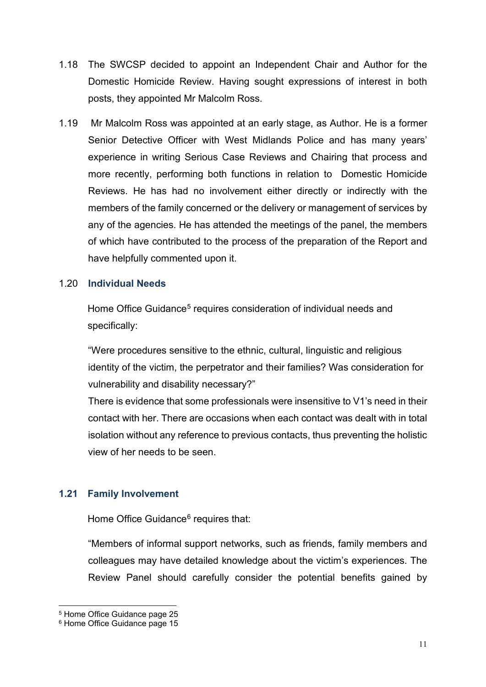- 1.18 The SWCSP decided to appoint an Independent Chair and Author for the Domestic Homicide Review. Having sought expressions of interest in both posts, they appointed Mr Malcolm Ross.
- 1.19 Mr Malcolm Ross was appointed at an early stage, as Author. He is a former Senior Detective Officer with West Midlands Police and has many years' experience in writing Serious Case Reviews and Chairing that process and more recently, performing both functions in relation to Domestic Homicide Reviews. He has had no involvement either directly or indirectly with the members of the family concerned or the delivery or management of services by any of the agencies. He has attended the meetings of the panel, the members of which have contributed to the process of the preparation of the Report and have helpfully commented upon it.

## 1.20 **Individual Needs**

Home Office Guidance<sup>[5](#page-10-0)</sup> requires consideration of individual needs and specifically:

"Were procedures sensitive to the ethnic, cultural, linguistic and religious identity of the victim, the perpetrator and their families? Was consideration for vulnerability and disability necessary?"

There is evidence that some professionals were insensitive to V1's need in their contact with her. There are occasions when each contact was dealt with in total isolation without any reference to previous contacts, thus preventing the holistic view of her needs to be seen.

## **1.21 Family Involvement**

Home Office Guidance<sup>[6](#page-10-1)</sup> requires that:

"Members of informal support networks, such as friends, family members and colleagues may have detailed knowledge about the victim's experiences. The Review Panel should carefully consider the potential benefits gained by

<span id="page-10-0"></span><sup>5</sup> Home Office Guidance page 25

<span id="page-10-1"></span><sup>6</sup> Home Office Guidance page 15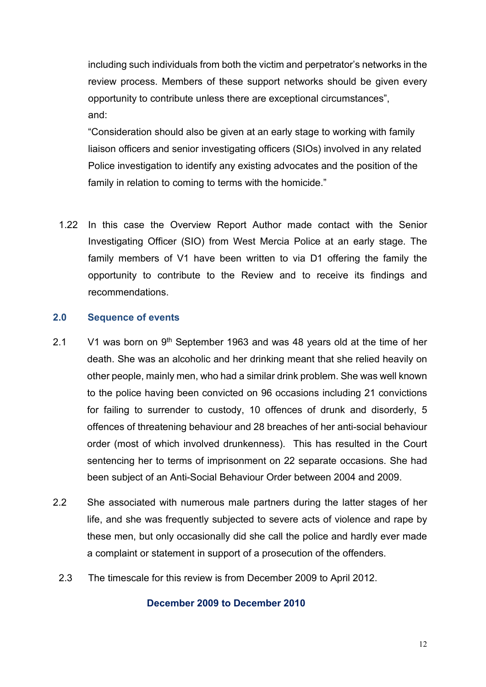including such individuals from both the victim and perpetrator's networks in the review process. Members of these support networks should be given every opportunity to contribute unless there are exceptional circumstances", and:

"Consideration should also be given at an early stage to working with family liaison officers and senior investigating officers (SIOs) involved in any related Police investigation to identify any existing advocates and the position of the family in relation to coming to terms with the homicide."

1.22 In this case the Overview Report Author made contact with the Senior Investigating Officer (SIO) from West Mercia Police at an early stage. The family members of V1 have been written to via D1 offering the family the opportunity to contribute to the Review and to receive its findings and recommendations.

## **2.0 Sequence of events**

- 2.1 V1 was born on  $9<sup>th</sup>$  September 1963 and was 48 years old at the time of her death. She was an alcoholic and her drinking meant that she relied heavily on other people, mainly men, who had a similar drink problem. She was well known to the police having been convicted on 96 occasions including 21 convictions for failing to surrender to custody, 10 offences of drunk and disorderly, 5 offences of threatening behaviour and 28 breaches of her anti-social behaviour order (most of which involved drunkenness). This has resulted in the Court sentencing her to terms of imprisonment on 22 separate occasions. She had been subject of an Anti-Social Behaviour Order between 2004 and 2009.
- 2.2 She associated with numerous male partners during the latter stages of her life, and she was frequently subjected to severe acts of violence and rape by these men, but only occasionally did she call the police and hardly ever made a complaint or statement in support of a prosecution of the offenders.
- 2.3 The timescale for this review is from December 2009 to April 2012.

## **December 2009 to December 2010**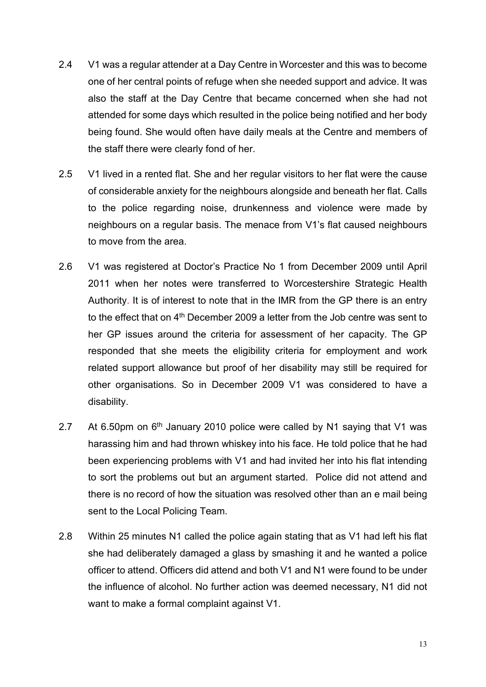- 2.4 V1 was a regular attender at a Day Centre in Worcester and this was to become one of her central points of refuge when she needed support and advice. It was also the staff at the Day Centre that became concerned when she had not attended for some days which resulted in the police being notified and her body being found. She would often have daily meals at the Centre and members of the staff there were clearly fond of her.
- 2.5 V1 lived in a rented flat. She and her regular visitors to her flat were the cause of considerable anxiety for the neighbours alongside and beneath her flat. Calls to the police regarding noise, drunkenness and violence were made by neighbours on a regular basis. The menace from V1's flat caused neighbours to move from the area.
- 2.6 V1 was registered at Doctor's Practice No 1 from December 2009 until April 2011 when her notes were transferred to Worcestershire Strategic Health Authority. It is of interest to note that in the IMR from the GP there is an entry to the effect that on 4<sup>th</sup> December 2009 a letter from the Job centre was sent to her GP issues around the criteria for assessment of her capacity. The GP responded that she meets the eligibility criteria for employment and work related support allowance but proof of her disability may still be required for other organisations. So in December 2009 V1 was considered to have a disability.
- 2.7 At 6.50pm on  $6<sup>th</sup>$  January 2010 police were called by N1 saying that V1 was harassing him and had thrown whiskey into his face. He told police that he had been experiencing problems with V1 and had invited her into his flat intending to sort the problems out but an argument started. Police did not attend and there is no record of how the situation was resolved other than an e mail being sent to the Local Policing Team.
- 2.8 Within 25 minutes N1 called the police again stating that as V1 had left his flat she had deliberately damaged a glass by smashing it and he wanted a police officer to attend. Officers did attend and both V1 and N1 were found to be under the influence of alcohol. No further action was deemed necessary, N1 did not want to make a formal complaint against V1.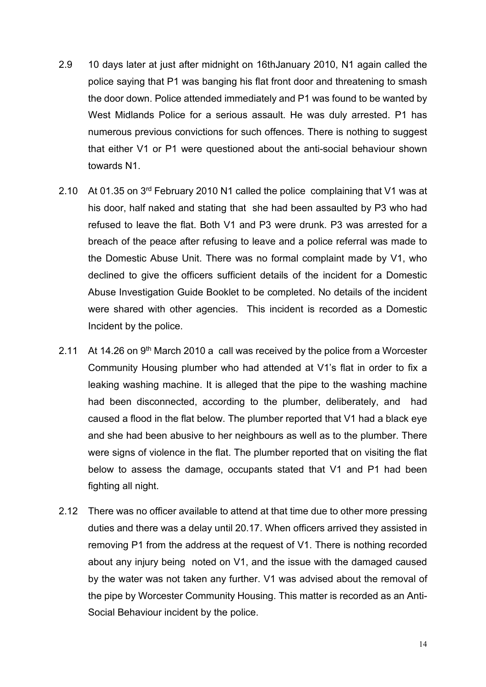- 2.9 10 days later at just after midnight on 16thJanuary 2010, N1 again called the police saying that P1 was banging his flat front door and threatening to smash the door down. Police attended immediately and P1 was found to be wanted by West Midlands Police for a serious assault. He was duly arrested. P1 has numerous previous convictions for such offences. There is nothing to suggest that either V1 or P1 were questioned about the anti-social behaviour shown towards N1.
- 2.10 At 01.35 on 3rd February 2010 N1 called the police complaining that V1 was at his door, half naked and stating that she had been assaulted by P3 who had refused to leave the flat. Both V1 and P3 were drunk. P3 was arrested for a breach of the peace after refusing to leave and a police referral was made to the Domestic Abuse Unit. There was no formal complaint made by V1, who declined to give the officers sufficient details of the incident for a Domestic Abuse Investigation Guide Booklet to be completed. No details of the incident were shared with other agencies. This incident is recorded as a Domestic Incident by the police.
- 2.11 At 14.26 on 9<sup>th</sup> March 2010 a call was received by the police from a Worcester Community Housing plumber who had attended at V1's flat in order to fix a leaking washing machine. It is alleged that the pipe to the washing machine had been disconnected, according to the plumber, deliberately, and had caused a flood in the flat below. The plumber reported that V1 had a black eye and she had been abusive to her neighbours as well as to the plumber. There were signs of violence in the flat. The plumber reported that on visiting the flat below to assess the damage, occupants stated that V1 and P1 had been fighting all night.
- 2.12 There was no officer available to attend at that time due to other more pressing duties and there was a delay until 20.17. When officers arrived they assisted in removing P1 from the address at the request of V1. There is nothing recorded about any injury being noted on V1, and the issue with the damaged caused by the water was not taken any further. V1 was advised about the removal of the pipe by Worcester Community Housing. This matter is recorded as an Anti-Social Behaviour incident by the police.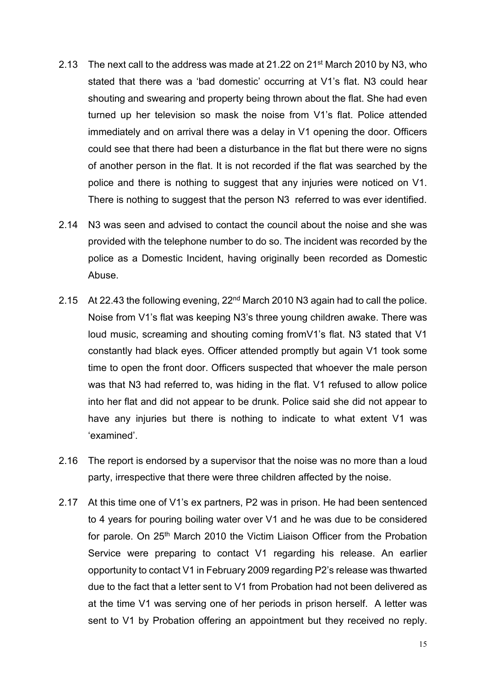- 2.13 The next call to the address was made at 21.22 on 21st March 2010 by N3, who stated that there was a 'bad domestic' occurring at V1's flat. N3 could hear shouting and swearing and property being thrown about the flat. She had even turned up her television so mask the noise from V1's flat. Police attended immediately and on arrival there was a delay in V1 opening the door. Officers could see that there had been a disturbance in the flat but there were no signs of another person in the flat. It is not recorded if the flat was searched by the police and there is nothing to suggest that any injuries were noticed on V1. There is nothing to suggest that the person N3 referred to was ever identified.
- 2.14 N3 was seen and advised to contact the council about the noise and she was provided with the telephone number to do so. The incident was recorded by the police as a Domestic Incident, having originally been recorded as Domestic Abuse.
- 2.15 At 22.43 the following evening, 22<sup>nd</sup> March 2010 N3 again had to call the police. Noise from V1's flat was keeping N3's three young children awake. There was loud music, screaming and shouting coming fromV1's flat. N3 stated that V1 constantly had black eyes. Officer attended promptly but again V1 took some time to open the front door. Officers suspected that whoever the male person was that N3 had referred to, was hiding in the flat. V1 refused to allow police into her flat and did not appear to be drunk. Police said she did not appear to have any injuries but there is nothing to indicate to what extent V1 was 'examined'.
- 2.16 The report is endorsed by a supervisor that the noise was no more than a loud party, irrespective that there were three children affected by the noise.
- 2.17 At this time one of V1's ex partners, P2 was in prison. He had been sentenced to 4 years for pouring boiling water over V1 and he was due to be considered for parole. On 25<sup>th</sup> March 2010 the Victim Liaison Officer from the Probation Service were preparing to contact V1 regarding his release. An earlier opportunity to contact V1 in February 2009 regarding P2's release was thwarted due to the fact that a letter sent to V1 from Probation had not been delivered as at the time V1 was serving one of her periods in prison herself. A letter was sent to V1 by Probation offering an appointment but they received no reply.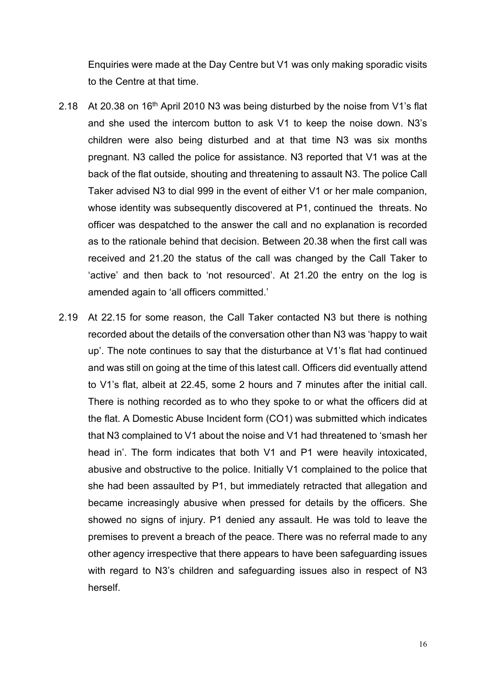Enquiries were made at the Day Centre but V1 was only making sporadic visits to the Centre at that time.

- 2.18 At 20.38 on 16<sup>th</sup> April 2010 N3 was being disturbed by the noise from V1's flat and she used the intercom button to ask V1 to keep the noise down. N3's children were also being disturbed and at that time N3 was six months pregnant. N3 called the police for assistance. N3 reported that V1 was at the back of the flat outside, shouting and threatening to assault N3. The police Call Taker advised N3 to dial 999 in the event of either V1 or her male companion, whose identity was subsequently discovered at P1, continued the threats. No officer was despatched to the answer the call and no explanation is recorded as to the rationale behind that decision. Between 20.38 when the first call was received and 21.20 the status of the call was changed by the Call Taker to 'active' and then back to 'not resourced'. At 21.20 the entry on the log is amended again to 'all officers committed.'
- 2.19 At 22.15 for some reason, the Call Taker contacted N3 but there is nothing recorded about the details of the conversation other than N3 was 'happy to wait up'. The note continues to say that the disturbance at V1's flat had continued and was still on going at the time of this latest call. Officers did eventually attend to V1's flat, albeit at 22.45, some 2 hours and 7 minutes after the initial call. There is nothing recorded as to who they spoke to or what the officers did at the flat. A Domestic Abuse Incident form (CO1) was submitted which indicates that N3 complained to V1 about the noise and V1 had threatened to 'smash her head in'. The form indicates that both V1 and P1 were heavily intoxicated, abusive and obstructive to the police. Initially V1 complained to the police that she had been assaulted by P1, but immediately retracted that allegation and became increasingly abusive when pressed for details by the officers. She showed no signs of injury. P1 denied any assault. He was told to leave the premises to prevent a breach of the peace. There was no referral made to any other agency irrespective that there appears to have been safeguarding issues with regard to N3's children and safeguarding issues also in respect of N3 herself.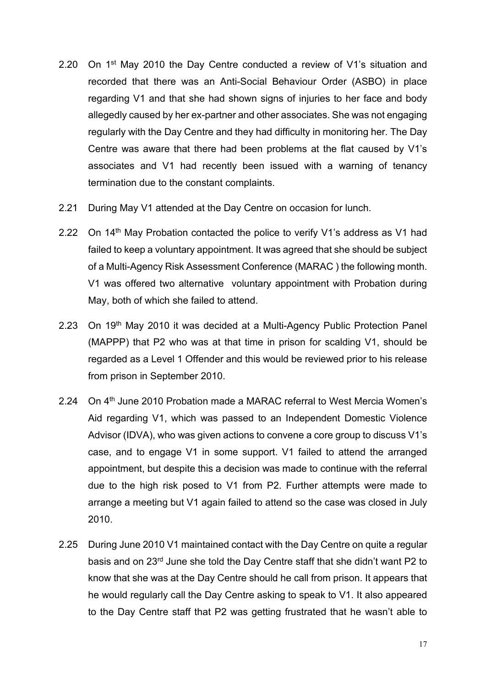- 2.20 On 1<sup>st</sup> May 2010 the Day Centre conducted a review of V1's situation and recorded that there was an Anti-Social Behaviour Order (ASBO) in place regarding V1 and that she had shown signs of injuries to her face and body allegedly caused by her ex-partner and other associates. She was not engaging regularly with the Day Centre and they had difficulty in monitoring her. The Day Centre was aware that there had been problems at the flat caused by V1's associates and V1 had recently been issued with a warning of tenancy termination due to the constant complaints.
- 2.21 During May V1 attended at the Day Centre on occasion for lunch.
- 2.22 On 14<sup>th</sup> May Probation contacted the police to verify V1's address as V1 had failed to keep a voluntary appointment. It was agreed that she should be subject of a Multi-Agency Risk Assessment Conference (MARAC ) the following month. V1 was offered two alternative voluntary appointment with Probation during May, both of which she failed to attend.
- 2.23 On 19th May 2010 it was decided at a Multi-Agency Public Protection Panel (MAPPP) that P2 who was at that time in prison for scalding V1, should be regarded as a Level 1 Offender and this would be reviewed prior to his release from prison in September 2010.
- 2.24 On 4<sup>th</sup> June 2010 Probation made a MARAC referral to West Mercia Women's Aid regarding V1, which was passed to an Independent Domestic Violence Advisor (IDVA), who was given actions to convene a core group to discuss V1's case, and to engage V1 in some support. V1 failed to attend the arranged appointment, but despite this a decision was made to continue with the referral due to the high risk posed to V1 from P2. Further attempts were made to arrange a meeting but V1 again failed to attend so the case was closed in July 2010.
- 2.25 During June 2010 V1 maintained contact with the Day Centre on quite a regular basis and on 23rd June she told the Day Centre staff that she didn't want P2 to know that she was at the Day Centre should he call from prison. It appears that he would regularly call the Day Centre asking to speak to V1. It also appeared to the Day Centre staff that P2 was getting frustrated that he wasn't able to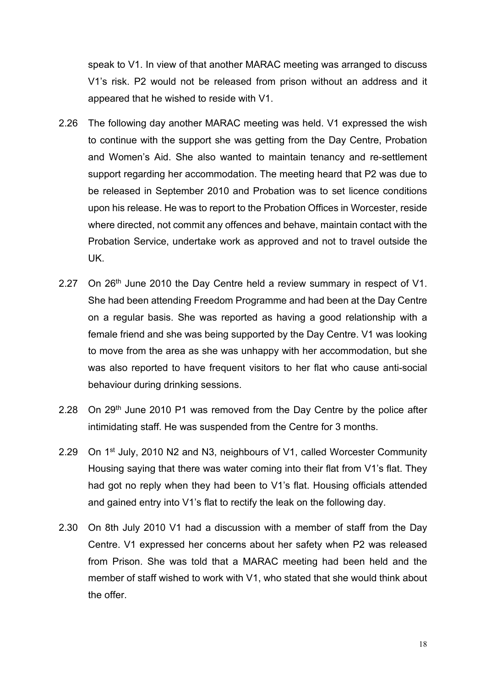speak to V1. In view of that another MARAC meeting was arranged to discuss V1's risk. P2 would not be released from prison without an address and it appeared that he wished to reside with V1.

- 2.26 The following day another MARAC meeting was held. V1 expressed the wish to continue with the support she was getting from the Day Centre, Probation and Women's Aid. She also wanted to maintain tenancy and re-settlement support regarding her accommodation. The meeting heard that P2 was due to be released in September 2010 and Probation was to set licence conditions upon his release. He was to report to the Probation Offices in Worcester, reside where directed, not commit any offences and behave, maintain contact with the Probation Service, undertake work as approved and not to travel outside the UK.
- 2.27 On 26<sup>th</sup> June 2010 the Day Centre held a review summary in respect of V1. She had been attending Freedom Programme and had been at the Day Centre on a regular basis. She was reported as having a good relationship with a female friend and she was being supported by the Day Centre. V1 was looking to move from the area as she was unhappy with her accommodation, but she was also reported to have frequent visitors to her flat who cause anti-social behaviour during drinking sessions.
- 2.28 On 29<sup>th</sup> June 2010 P1 was removed from the Day Centre by the police after intimidating staff. He was suspended from the Centre for 3 months.
- 2.29 On 1<sup>st</sup> July, 2010 N2 and N3, neighbours of V1, called Worcester Community Housing saying that there was water coming into their flat from V1's flat. They had got no reply when they had been to V1's flat. Housing officials attended and gained entry into V1's flat to rectify the leak on the following day.
- 2.30 On 8th July 2010 V1 had a discussion with a member of staff from the Day Centre. V1 expressed her concerns about her safety when P2 was released from Prison. She was told that a MARAC meeting had been held and the member of staff wished to work with V1, who stated that she would think about the offer.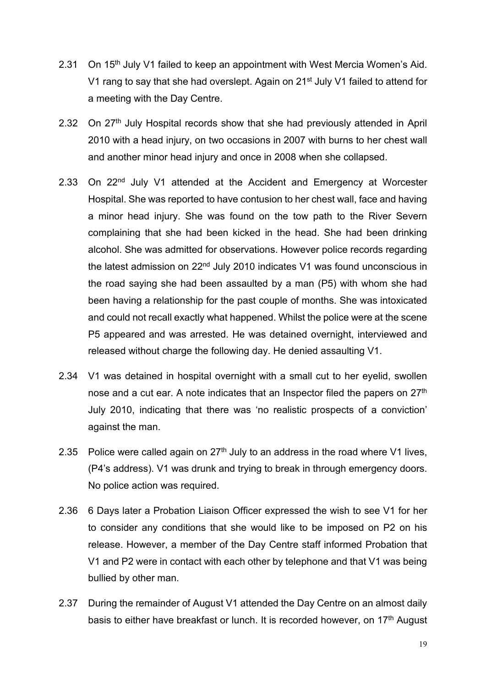- 2.31 On 15<sup>th</sup> July V1 failed to keep an appointment with West Mercia Women's Aid. V1 rang to say that she had overslept. Again on 21<sup>st</sup> July V1 failed to attend for a meeting with the Day Centre.
- 2.32 On 27<sup>th</sup> July Hospital records show that she had previously attended in April 2010 with a head injury, on two occasions in 2007 with burns to her chest wall and another minor head injury and once in 2008 when she collapsed.
- 2.33 On 22<sup>nd</sup> July V1 attended at the Accident and Emergency at Worcester Hospital. She was reported to have contusion to her chest wall, face and having a minor head injury. She was found on the tow path to the River Severn complaining that she had been kicked in the head. She had been drinking alcohol. She was admitted for observations. However police records regarding the latest admission on 22<sup>nd</sup> July 2010 indicates V1 was found unconscious in the road saying she had been assaulted by a man (P5) with whom she had been having a relationship for the past couple of months. She was intoxicated and could not recall exactly what happened. Whilst the police were at the scene P5 appeared and was arrested. He was detained overnight, interviewed and released without charge the following day. He denied assaulting V1.
- 2.34 V1 was detained in hospital overnight with a small cut to her eyelid, swollen nose and a cut ear. A note indicates that an Inspector filed the papers on 27<sup>th</sup> July 2010, indicating that there was 'no realistic prospects of a conviction' against the man.
- 2.35 Police were called again on  $27<sup>th</sup>$  July to an address in the road where V1 lives. (P4's address). V1 was drunk and trying to break in through emergency doors. No police action was required.
- 2.36 6 Days later a Probation Liaison Officer expressed the wish to see V1 for her to consider any conditions that she would like to be imposed on P2 on his release. However, a member of the Day Centre staff informed Probation that V1 and P2 were in contact with each other by telephone and that V1 was being bullied by other man.
- 2.37 During the remainder of August V1 attended the Day Centre on an almost daily basis to either have breakfast or lunch. It is recorded however, on 17<sup>th</sup> August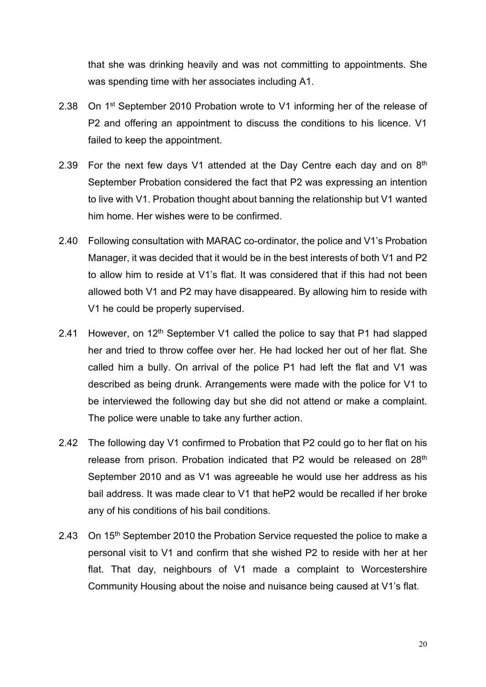that she was drinking heavily and was not committing to appointments. She was spending time with her associates including A1.

- 2.38 On 1<sup>st</sup> September 2010 Probation wrote to V1 informing her of the release of P2 and offering an appointment to discuss the conditions to his licence. V1 failed to keep the appointment.
- 2.39 For the next few days V1 attended at the Day Centre each day and on  $8<sup>th</sup>$ September Probation considered the fact that P2 was expressing an intention to live with V1. Probation thought about banning the relationship but V1 wanted him home. Her wishes were to be confirmed.
- 2.40 Following consultation with MARAC co-ordinator, the police and V1's Probation Manager, it was decided that it would be in the best interests of both V1 and P2 to allow him to reside at V1's flat. It was considered that if this had not been allowed both V1 and P2 may have disappeared. By allowing him to reside with V1 he could be properly supervised.
- 2.41 However, on 12<sup>th</sup> September V1 called the police to say that P1 had slapped her and tried to throw coffee over her. He had locked her out of her flat. She called him a bully. On arrival of the police P1 had left the flat and V1 was described as being drunk. Arrangements were made with the police for V1 to be interviewed the following day but she did not attend or make a complaint. The police were unable to take any further action.
- 2.42 The following day V1 confirmed to Probation that P2 could go to her flat on his release from prison. Probation indicated that P2 would be released on 28<sup>th</sup> September 2010 and as V1 was agreeable he would use her address as his bail address. It was made clear to V1 that heP2 would be recalled if her broke any of his conditions of his bail conditions.
- 2.43 On 15<sup>th</sup> September 2010 the Probation Service requested the police to make a personal visit to V1 and confirm that she wished P2 to reside with her at her flat. That day, neighbours of V1 made a complaint to Worcestershire Community Housing about the noise and nuisance being caused at V1's flat.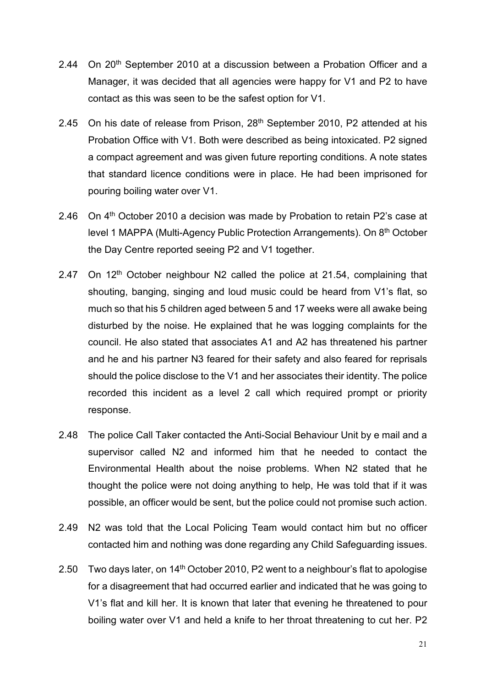- 2.44 On 20<sup>th</sup> September 2010 at a discussion between a Probation Officer and a Manager, it was decided that all agencies were happy for V1 and P2 to have contact as this was seen to be the safest option for V1.
- 2.45 On his date of release from Prison,  $28<sup>th</sup>$  September 2010, P2 attended at his Probation Office with V1. Both were described as being intoxicated. P2 signed a compact agreement and was given future reporting conditions. A note states that standard licence conditions were in place. He had been imprisoned for pouring boiling water over V1.
- 2.46 On  $4<sup>th</sup>$  October 2010 a decision was made by Probation to retain P2's case at level 1 MAPPA (Multi-Agency Public Protection Arrangements). On 8th October the Day Centre reported seeing P2 and V1 together.
- 2.47 On  $12<sup>th</sup>$  October neighbour N2 called the police at 21.54, complaining that shouting, banging, singing and loud music could be heard from V1's flat, so much so that his 5 children aged between 5 and 17 weeks were all awake being disturbed by the noise. He explained that he was logging complaints for the council. He also stated that associates A1 and A2 has threatened his partner and he and his partner N3 feared for their safety and also feared for reprisals should the police disclose to the V1 and her associates their identity. The police recorded this incident as a level 2 call which required prompt or priority response.
- 2.48 The police Call Taker contacted the Anti-Social Behaviour Unit by e mail and a supervisor called N2 and informed him that he needed to contact the Environmental Health about the noise problems. When N2 stated that he thought the police were not doing anything to help, He was told that if it was possible, an officer would be sent, but the police could not promise such action.
- 2.49 N2 was told that the Local Policing Team would contact him but no officer contacted him and nothing was done regarding any Child Safeguarding issues.
- 2.50 Two days later, on  $14<sup>th</sup>$  October 2010, P2 went to a neighbour's flat to apologise for a disagreement that had occurred earlier and indicated that he was going to V1's flat and kill her. It is known that later that evening he threatened to pour boiling water over V1 and held a knife to her throat threatening to cut her. P2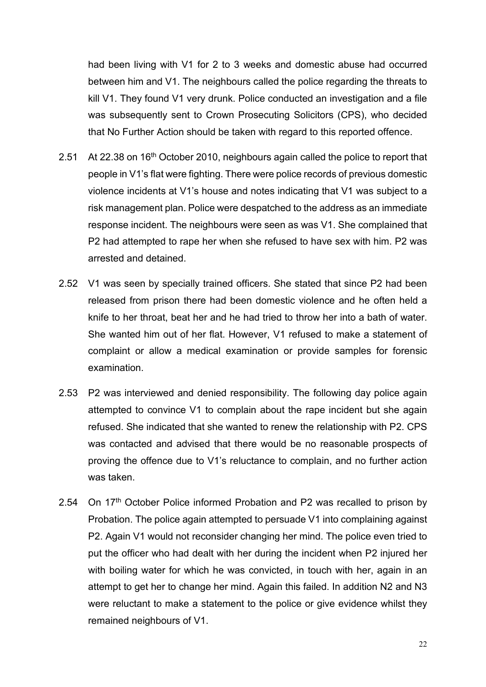had been living with V1 for 2 to 3 weeks and domestic abuse had occurred between him and V1. The neighbours called the police regarding the threats to kill V1. They found V1 very drunk. Police conducted an investigation and a file was subsequently sent to Crown Prosecuting Solicitors (CPS), who decided that No Further Action should be taken with regard to this reported offence.

- 2.51 At 22.38 on 16<sup>th</sup> October 2010, neighbours again called the police to report that people in V1's flat were fighting. There were police records of previous domestic violence incidents at V1's house and notes indicating that V1 was subject to a risk management plan. Police were despatched to the address as an immediate response incident. The neighbours were seen as was V1. She complained that P2 had attempted to rape her when she refused to have sex with him. P2 was arrested and detained.
- 2.52 V1 was seen by specially trained officers. She stated that since P2 had been released from prison there had been domestic violence and he often held a knife to her throat, beat her and he had tried to throw her into a bath of water. She wanted him out of her flat. However, V1 refused to make a statement of complaint or allow a medical examination or provide samples for forensic examination.
- 2.53 P2 was interviewed and denied responsibility. The following day police again attempted to convince V1 to complain about the rape incident but she again refused. She indicated that she wanted to renew the relationship with P2. CPS was contacted and advised that there would be no reasonable prospects of proving the offence due to V1's reluctance to complain, and no further action was taken.
- 2.54 On 17<sup>th</sup> October Police informed Probation and P2 was recalled to prison by Probation. The police again attempted to persuade V1 into complaining against P2. Again V1 would not reconsider changing her mind. The police even tried to put the officer who had dealt with her during the incident when P2 injured her with boiling water for which he was convicted, in touch with her, again in an attempt to get her to change her mind. Again this failed. In addition N2 and N3 were reluctant to make a statement to the police or give evidence whilst they remained neighbours of V1.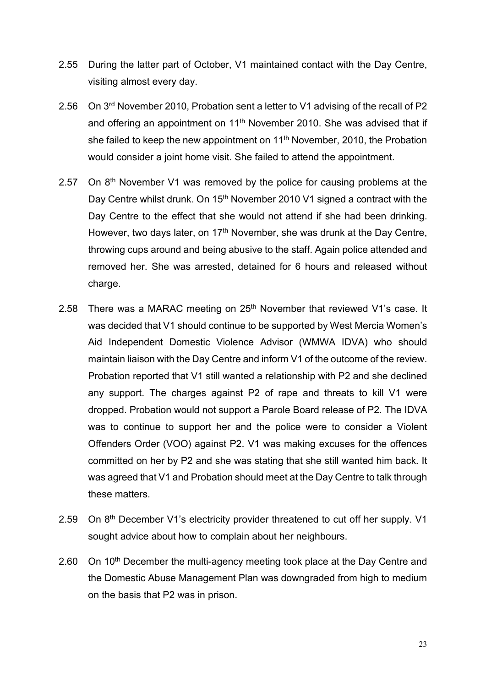- 2.55 During the latter part of October, V1 maintained contact with the Day Centre, visiting almost every day.
- 2.56 On 3rd November 2010, Probation sent a letter to V1 advising of the recall of P2 and offering an appointment on  $11<sup>th</sup>$  November 2010. She was advised that if she failed to keep the new appointment on 11<sup>th</sup> November, 2010, the Probation would consider a joint home visit. She failed to attend the appointment.
- 2.57 On  $8<sup>th</sup>$  November V1 was removed by the police for causing problems at the Day Centre whilst drunk. On 15<sup>th</sup> November 2010 V1 signed a contract with the Day Centre to the effect that she would not attend if she had been drinking. However, two days later, on 17<sup>th</sup> November, she was drunk at the Day Centre, throwing cups around and being abusive to the staff. Again police attended and removed her. She was arrested, detained for 6 hours and released without charge.
- 2.58 There was a MARAC meeting on 25<sup>th</sup> November that reviewed V1's case. It was decided that V1 should continue to be supported by West Mercia Women's Aid Independent Domestic Violence Advisor (WMWA IDVA) who should maintain liaison with the Day Centre and inform V1 of the outcome of the review. Probation reported that V1 still wanted a relationship with P2 and she declined any support. The charges against P2 of rape and threats to kill V1 were dropped. Probation would not support a Parole Board release of P2. The IDVA was to continue to support her and the police were to consider a Violent Offenders Order (VOO) against P2. V1 was making excuses for the offences committed on her by P2 and she was stating that she still wanted him back. It was agreed that V1 and Probation should meet at the Day Centre to talk through these matters.
- 2.59 On 8<sup>th</sup> December V1's electricity provider threatened to cut off her supply. V1 sought advice about how to complain about her neighbours.
- 2.60 On 10<sup>th</sup> December the multi-agency meeting took place at the Day Centre and the Domestic Abuse Management Plan was downgraded from high to medium on the basis that P2 was in prison.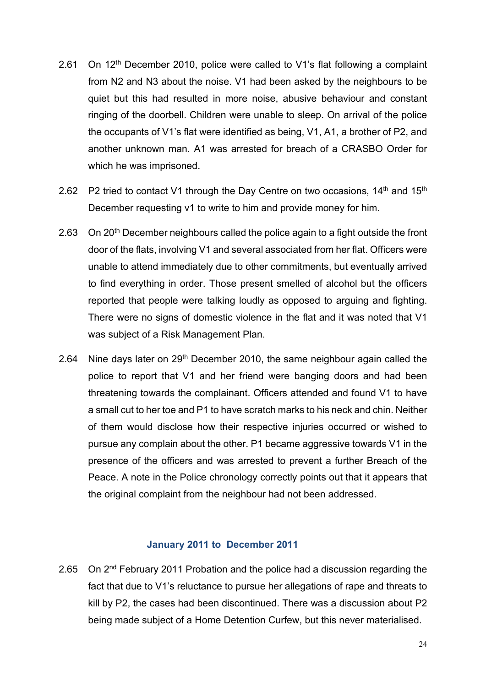- 2.61 On 12<sup>th</sup> December 2010, police were called to V1's flat following a complaint from N2 and N3 about the noise. V1 had been asked by the neighbours to be quiet but this had resulted in more noise, abusive behaviour and constant ringing of the doorbell. Children were unable to sleep. On arrival of the police the occupants of V1's flat were identified as being, V1, A1, a brother of P2, and another unknown man. A1 was arrested for breach of a CRASBO Order for which he was imprisoned.
- 2.62 P2 tried to contact V1 through the Day Centre on two occasions,  $14<sup>th</sup>$  and  $15<sup>th</sup>$ December requesting v1 to write to him and provide money for him.
- 2.63 On 20<sup>th</sup> December neighbours called the police again to a fight outside the front door of the flats, involving V1 and several associated from her flat. Officers were unable to attend immediately due to other commitments, but eventually arrived to find everything in order. Those present smelled of alcohol but the officers reported that people were talking loudly as opposed to arguing and fighting. There were no signs of domestic violence in the flat and it was noted that V1 was subject of a Risk Management Plan.
- 2.64 Nine days later on  $29<sup>th</sup>$  December 2010, the same neighbour again called the police to report that V1 and her friend were banging doors and had been threatening towards the complainant. Officers attended and found V1 to have a small cut to her toe and P1 to have scratch marks to his neck and chin. Neither of them would disclose how their respective injuries occurred or wished to pursue any complain about the other. P1 became aggressive towards V1 in the presence of the officers and was arrested to prevent a further Breach of the Peace. A note in the Police chronology correctly points out that it appears that the original complaint from the neighbour had not been addressed.

#### **January 2011 to December 2011**

2.65 On 2<sup>nd</sup> February 2011 Probation and the police had a discussion regarding the fact that due to V1's reluctance to pursue her allegations of rape and threats to kill by P2, the cases had been discontinued. There was a discussion about P2 being made subject of a Home Detention Curfew, but this never materialised.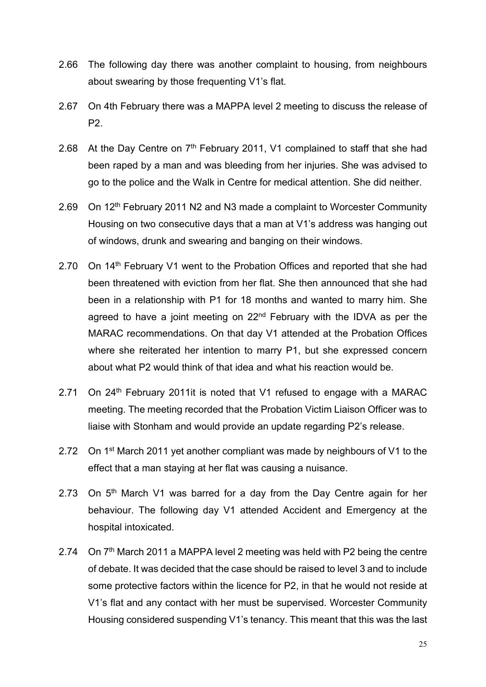- 2.66 The following day there was another complaint to housing, from neighbours about swearing by those frequenting V1's flat.
- 2.67 On 4th February there was a MAPPA level 2 meeting to discuss the release of P2.
- 2.68 At the Day Centre on  $7<sup>th</sup>$  February 2011, V1 complained to staff that she had been raped by a man and was bleeding from her injuries. She was advised to go to the police and the Walk in Centre for medical attention. She did neither.
- 2.69 On 12<sup>th</sup> February 2011 N2 and N3 made a complaint to Worcester Community Housing on two consecutive days that a man at V1's address was hanging out of windows, drunk and swearing and banging on their windows.
- 2.70 On 14<sup>th</sup> February V1 went to the Probation Offices and reported that she had been threatened with eviction from her flat. She then announced that she had been in a relationship with P1 for 18 months and wanted to marry him. She agreed to have a joint meeting on 22<sup>nd</sup> February with the IDVA as per the MARAC recommendations. On that day V1 attended at the Probation Offices where she reiterated her intention to marry P1, but she expressed concern about what P2 would think of that idea and what his reaction would be.
- 2.71 On 24<sup>th</sup> February 2011it is noted that V1 refused to engage with a MARAC meeting. The meeting recorded that the Probation Victim Liaison Officer was to liaise with Stonham and would provide an update regarding P2's release.
- 2.72 On 1<sup>st</sup> March 2011 yet another compliant was made by neighbours of V1 to the effect that a man staying at her flat was causing a nuisance.
- 2.73 On  $5<sup>th</sup>$  March V1 was barred for a day from the Day Centre again for her behaviour. The following day V1 attended Accident and Emergency at the hospital intoxicated.
- 2.74 On 7<sup>th</sup> March 2011 a MAPPA level 2 meeting was held with P2 being the centre of debate. It was decided that the case should be raised to level 3 and to include some protective factors within the licence for P2, in that he would not reside at V1's flat and any contact with her must be supervised. Worcester Community Housing considered suspending V1's tenancy. This meant that this was the last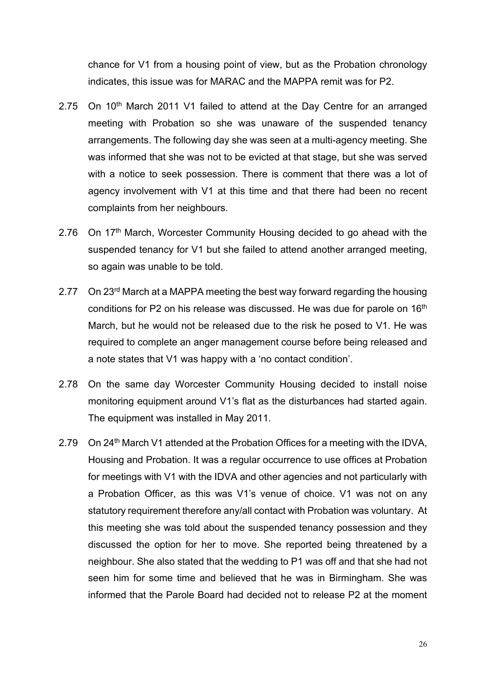chance for V1 from a housing point of view, but as the Probation chronology indicates, this issue was for MARAC and the MAPPA remit was for P2.

- 2.75 On 10<sup>th</sup> March 2011 V1 failed to attend at the Day Centre for an arranged meeting with Probation so she was unaware of the suspended tenancy arrangements. The following day she was seen at a multi-agency meeting. She was informed that she was not to be evicted at that stage, but she was served with a notice to seek possession. There is comment that there was a lot of agency involvement with V1 at this time and that there had been no recent complaints from her neighbours.
- 2.76 On 17<sup>th</sup> March, Worcester Community Housing decided to go ahead with the suspended tenancy for V1 but she failed to attend another arranged meeting, so again was unable to be told.
- 2.77 On 23<sup>rd</sup> March at a MAPPA meeting the best way forward regarding the housing conditions for P2 on his release was discussed. He was due for parole on 16<sup>th</sup> March, but he would not be released due to the risk he posed to V1. He was required to complete an anger management course before being released and a note states that V1 was happy with a 'no contact condition'.
- 2.78 On the same day Worcester Community Housing decided to install noise monitoring equipment around V1's flat as the disturbances had started again. The equipment was installed in May 2011.
- 2.79 On 24<sup>th</sup> March V1 attended at the Probation Offices for a meeting with the IDVA, Housing and Probation. It was a regular occurrence to use offices at Probation for meetings with V1 with the IDVA and other agencies and not particularly with a Probation Officer, as this was V1's venue of choice. V1 was not on any statutory requirement therefore any/all contact with Probation was voluntary. At this meeting she was told about the suspended tenancy possession and they discussed the option for her to move. She reported being threatened by a neighbour. She also stated that the wedding to P1 was off and that she had not seen him for some time and believed that he was in Birmingham. She was informed that the Parole Board had decided not to release P2 at the moment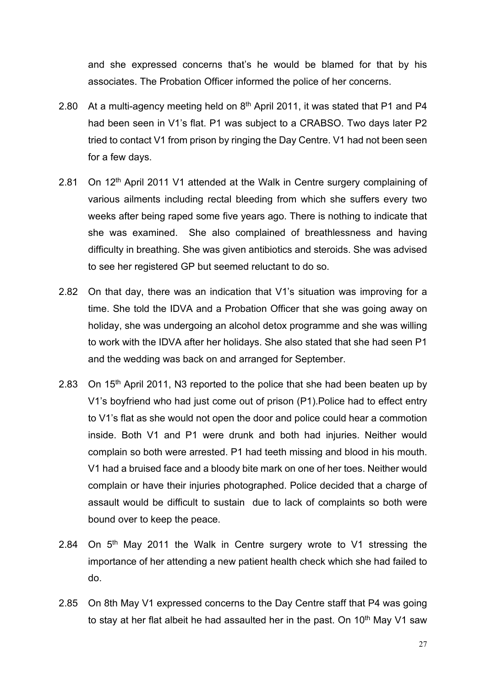and she expressed concerns that's he would be blamed for that by his associates. The Probation Officer informed the police of her concerns.

- 2.80 At a multi-agency meeting held on  $8<sup>th</sup>$  April 2011, it was stated that P1 and P4 had been seen in V1's flat. P1 was subject to a CRABSO. Two days later P2 tried to contact V1 from prison by ringing the Day Centre. V1 had not been seen for a few days.
- 2.81 On 12<sup>th</sup> April 2011 V1 attended at the Walk in Centre surgery complaining of various ailments including rectal bleeding from which she suffers every two weeks after being raped some five years ago. There is nothing to indicate that she was examined. She also complained of breathlessness and having difficulty in breathing. She was given antibiotics and steroids. She was advised to see her registered GP but seemed reluctant to do so.
- 2.82 On that day, there was an indication that V1's situation was improving for a time. She told the IDVA and a Probation Officer that she was going away on holiday, she was undergoing an alcohol detox programme and she was willing to work with the IDVA after her holidays. She also stated that she had seen P1 and the wedding was back on and arranged for September.
- 2.83 On 15<sup>th</sup> April 2011, N3 reported to the police that she had been beaten up by V1's boyfriend who had just come out of prison (P1).Police had to effect entry to V1's flat as she would not open the door and police could hear a commotion inside. Both V1 and P1 were drunk and both had injuries. Neither would complain so both were arrested. P1 had teeth missing and blood in his mouth. V1 had a bruised face and a bloody bite mark on one of her toes. Neither would complain or have their injuries photographed. Police decided that a charge of assault would be difficult to sustain due to lack of complaints so both were bound over to keep the peace.
- 2.84 On 5<sup>th</sup> May 2011 the Walk in Centre surgery wrote to V1 stressing the importance of her attending a new patient health check which she had failed to do.
- 2.85 On 8th May V1 expressed concerns to the Day Centre staff that P4 was going to stay at her flat albeit he had assaulted her in the past. On  $10<sup>th</sup>$  May V1 saw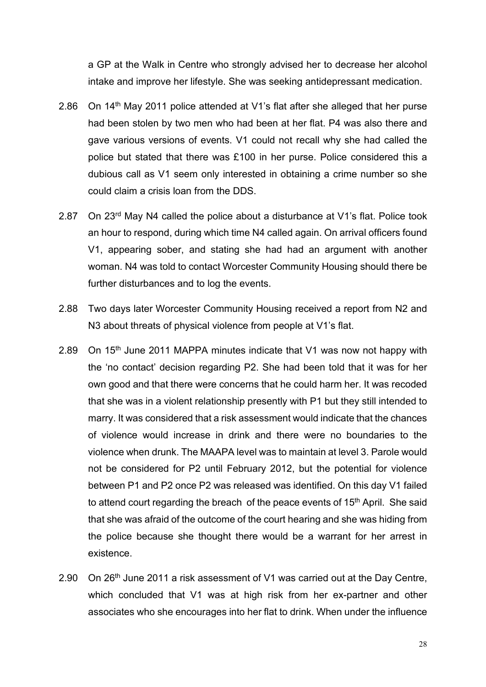a GP at the Walk in Centre who strongly advised her to decrease her alcohol intake and improve her lifestyle. She was seeking antidepressant medication.

- 2.86 On 14<sup>th</sup> May 2011 police attended at V1's flat after she alleged that her purse had been stolen by two men who had been at her flat. P4 was also there and gave various versions of events. V1 could not recall why she had called the police but stated that there was £100 in her purse. Police considered this a dubious call as V1 seem only interested in obtaining a crime number so she could claim a crisis loan from the DDS.
- 2.87 On 23rd May N4 called the police about a disturbance at V1's flat. Police took an hour to respond, during which time N4 called again. On arrival officers found V1, appearing sober, and stating she had had an argument with another woman. N4 was told to contact Worcester Community Housing should there be further disturbances and to log the events.
- 2.88 Two days later Worcester Community Housing received a report from N2 and N3 about threats of physical violence from people at V1's flat.
- 2.89 On 15<sup>th</sup> June 2011 MAPPA minutes indicate that V1 was now not happy with the 'no contact' decision regarding P2. She had been told that it was for her own good and that there were concerns that he could harm her. It was recoded that she was in a violent relationship presently with P1 but they still intended to marry. It was considered that a risk assessment would indicate that the chances of violence would increase in drink and there were no boundaries to the violence when drunk. The MAAPA level was to maintain at level 3. Parole would not be considered for P2 until February 2012, but the potential for violence between P1 and P2 once P2 was released was identified. On this day V1 failed to attend court regarding the breach of the peace events of  $15<sup>th</sup>$  April. She said that she was afraid of the outcome of the court hearing and she was hiding from the police because she thought there would be a warrant for her arrest in existence.
- 2.90 On 26<sup>th</sup> June 2011 a risk assessment of V1 was carried out at the Day Centre, which concluded that V1 was at high risk from her ex-partner and other associates who she encourages into her flat to drink. When under the influence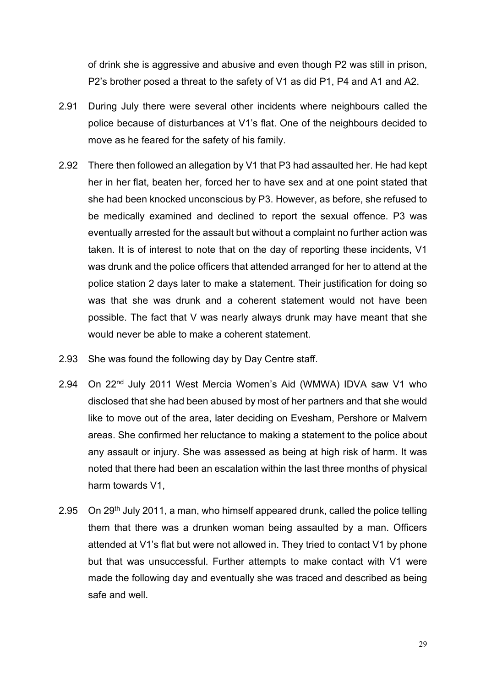of drink she is aggressive and abusive and even though P2 was still in prison, P2's brother posed a threat to the safety of V1 as did P1, P4 and A1 and A2.

- 2.91 During July there were several other incidents where neighbours called the police because of disturbances at V1's flat. One of the neighbours decided to move as he feared for the safety of his family.
- 2.92 There then followed an allegation by V1 that P3 had assaulted her. He had kept her in her flat, beaten her, forced her to have sex and at one point stated that she had been knocked unconscious by P3. However, as before, she refused to be medically examined and declined to report the sexual offence. P3 was eventually arrested for the assault but without a complaint no further action was taken. It is of interest to note that on the day of reporting these incidents, V1 was drunk and the police officers that attended arranged for her to attend at the police station 2 days later to make a statement. Their justification for doing so was that she was drunk and a coherent statement would not have been possible. The fact that V was nearly always drunk may have meant that she would never be able to make a coherent statement.
- 2.93 She was found the following day by Day Centre staff.
- 2.94 On 22nd July 2011 West Mercia Women's Aid (WMWA) IDVA saw V1 who disclosed that she had been abused by most of her partners and that she would like to move out of the area, later deciding on Evesham, Pershore or Malvern areas. She confirmed her reluctance to making a statement to the police about any assault or injury. She was assessed as being at high risk of harm. It was noted that there had been an escalation within the last three months of physical harm towards V1,
- 2.95 On 29<sup>th</sup> July 2011, a man, who himself appeared drunk, called the police telling them that there was a drunken woman being assaulted by a man. Officers attended at V1's flat but were not allowed in. They tried to contact V1 by phone but that was unsuccessful. Further attempts to make contact with V1 were made the following day and eventually she was traced and described as being safe and well.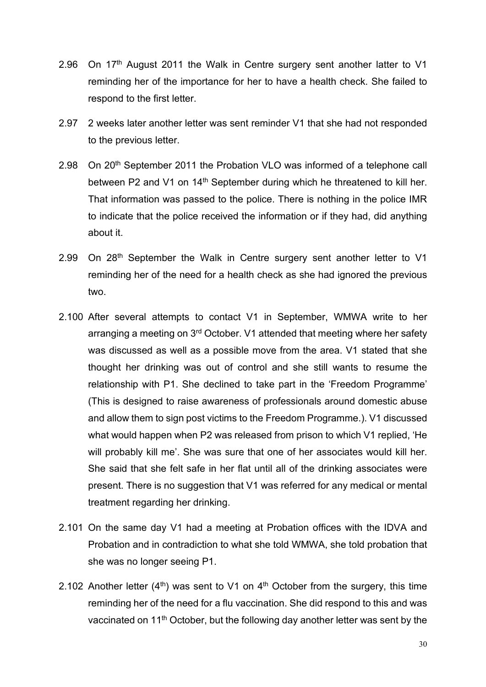- 2.96 On 17<sup>th</sup> August 2011 the Walk in Centre surgery sent another latter to V1 reminding her of the importance for her to have a health check. She failed to respond to the first letter.
- 2.97 2 weeks later another letter was sent reminder V1 that she had not responded to the previous letter.
- 2.98 On 20<sup>th</sup> September 2011 the Probation VLO was informed of a telephone call between P2 and V1 on 14<sup>th</sup> September during which he threatened to kill her. That information was passed to the police. There is nothing in the police IMR to indicate that the police received the information or if they had, did anything about it.
- 2.99 On 28<sup>th</sup> September the Walk in Centre surgery sent another letter to V1 reminding her of the need for a health check as she had ignored the previous two.
- 2.100 After several attempts to contact V1 in September, WMWA write to her arranging a meeting on 3<sup>rd</sup> October. V1 attended that meeting where her safety was discussed as well as a possible move from the area. V1 stated that she thought her drinking was out of control and she still wants to resume the relationship with P1. She declined to take part in the 'Freedom Programme' (This is designed to raise awareness of professionals around domestic abuse and allow them to sign post victims to the Freedom Programme.). V1 discussed what would happen when P2 was released from prison to which V1 replied, 'He will probably kill me'. She was sure that one of her associates would kill her. She said that she felt safe in her flat until all of the drinking associates were present. There is no suggestion that V1 was referred for any medical or mental treatment regarding her drinking.
- 2.101 On the same day V1 had a meeting at Probation offices with the IDVA and Probation and in contradiction to what she told WMWA, she told probation that she was no longer seeing P1.
- 2.102 Another letter  $(4<sup>th</sup>)$  was sent to V1 on  $4<sup>th</sup>$  October from the surgery, this time reminding her of the need for a flu vaccination. She did respond to this and was vaccinated on 11th October, but the following day another letter was sent by the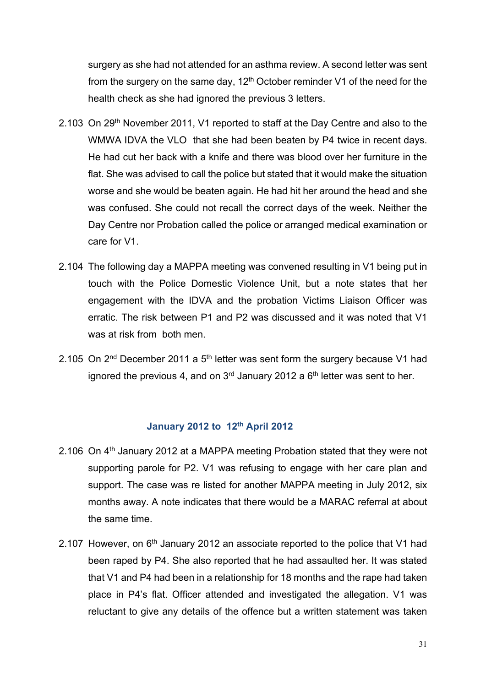surgery as she had not attended for an asthma review. A second letter was sent from the surgery on the same day,  $12<sup>th</sup>$  October reminder V1 of the need for the health check as she had ignored the previous 3 letters.

- 2.103 On 29<sup>th</sup> November 2011, V1 reported to staff at the Day Centre and also to the WMWA IDVA the VLO that she had been beaten by P4 twice in recent days. He had cut her back with a knife and there was blood over her furniture in the flat. She was advised to call the police but stated that it would make the situation worse and she would be beaten again. He had hit her around the head and she was confused. She could not recall the correct days of the week. Neither the Day Centre nor Probation called the police or arranged medical examination or care for V1.
- 2.104 The following day a MAPPA meeting was convened resulting in V1 being put in touch with the Police Domestic Violence Unit, but a note states that her engagement with the IDVA and the probation Victims Liaison Officer was erratic. The risk between P1 and P2 was discussed and it was noted that V1 was at risk from both men.
- 2.105 On  $2<sup>nd</sup>$  December 2011 a  $5<sup>th</sup>$  letter was sent form the surgery because V1 had ignored the previous 4, and on  $3<sup>rd</sup>$  January 2012 a  $6<sup>th</sup>$  letter was sent to her.

## **January 2012 to 12th April 2012**

- 2.106 On  $4<sup>th</sup>$  January 2012 at a MAPPA meeting Probation stated that they were not supporting parole for P2. V1 was refusing to engage with her care plan and support. The case was re listed for another MAPPA meeting in July 2012, six months away. A note indicates that there would be a MARAC referral at about the same time.
- 2.107 However, on 6<sup>th</sup> January 2012 an associate reported to the police that V1 had been raped by P4. She also reported that he had assaulted her. It was stated that V1 and P4 had been in a relationship for 18 months and the rape had taken place in P4's flat. Officer attended and investigated the allegation. V1 was reluctant to give any details of the offence but a written statement was taken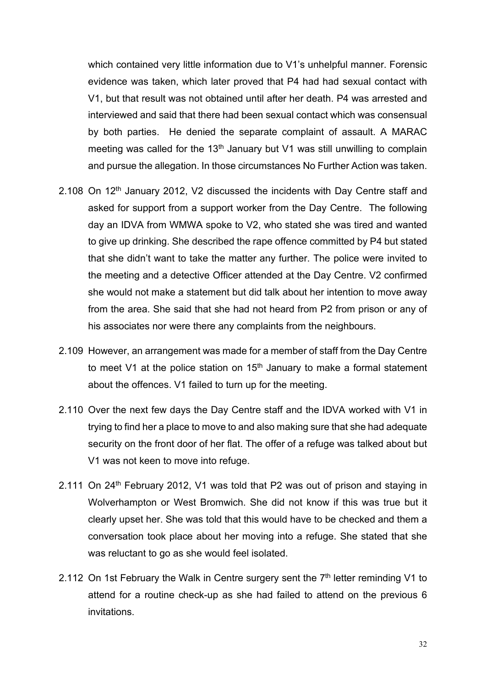which contained very little information due to V1's unhelpful manner. Forensic evidence was taken, which later proved that P4 had had sexual contact with V1, but that result was not obtained until after her death. P4 was arrested and interviewed and said that there had been sexual contact which was consensual by both parties. He denied the separate complaint of assault. A MARAC meeting was called for the  $13<sup>th</sup>$  January but V1 was still unwilling to complain and pursue the allegation. In those circumstances No Further Action was taken.

- 2.108 On 12<sup>th</sup> January 2012, V2 discussed the incidents with Day Centre staff and asked for support from a support worker from the Day Centre. The following day an IDVA from WMWA spoke to V2, who stated she was tired and wanted to give up drinking. She described the rape offence committed by P4 but stated that she didn't want to take the matter any further. The police were invited to the meeting and a detective Officer attended at the Day Centre. V2 confirmed she would not make a statement but did talk about her intention to move away from the area. She said that she had not heard from P2 from prison or any of his associates nor were there any complaints from the neighbours.
- 2.109 However, an arrangement was made for a member of staff from the Day Centre to meet V1 at the police station on  $15<sup>th</sup>$  January to make a formal statement about the offences. V1 failed to turn up for the meeting.
- 2.110 Over the next few days the Day Centre staff and the IDVA worked with V1 in trying to find her a place to move to and also making sure that she had adequate security on the front door of her flat. The offer of a refuge was talked about but V1 was not keen to move into refuge.
- 2.111 On 24<sup>th</sup> February 2012, V1 was told that P2 was out of prison and staying in Wolverhampton or West Bromwich. She did not know if this was true but it clearly upset her. She was told that this would have to be checked and them a conversation took place about her moving into a refuge. She stated that she was reluctant to go as she would feel isolated.
- 2.112 On 1st February the Walk in Centre surgery sent the  $7<sup>th</sup>$  letter reminding V1 to attend for a routine check-up as she had failed to attend on the previous 6 invitations.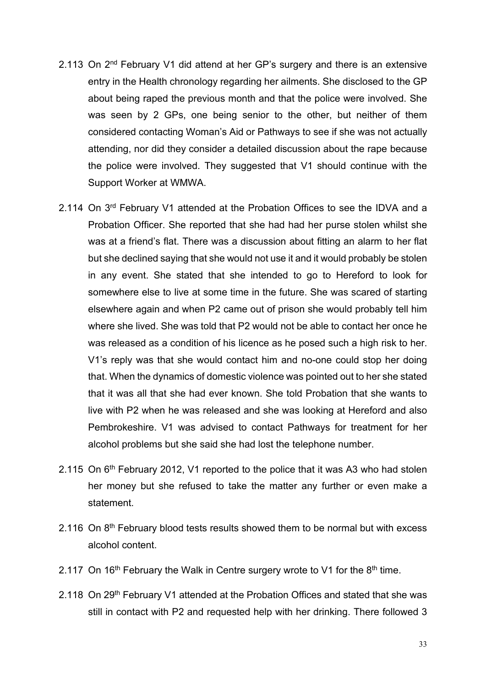- 2.113 On 2<sup>nd</sup> February V1 did attend at her GP's surgery and there is an extensive entry in the Health chronology regarding her ailments. She disclosed to the GP about being raped the previous month and that the police were involved. She was seen by 2 GPs, one being senior to the other, but neither of them considered contacting Woman's Aid or Pathways to see if she was not actually attending, nor did they consider a detailed discussion about the rape because the police were involved. They suggested that V1 should continue with the Support Worker at WMWA.
- 2.114 On 3<sup>rd</sup> February V1 attended at the Probation Offices to see the IDVA and a Probation Officer. She reported that she had had her purse stolen whilst she was at a friend's flat. There was a discussion about fitting an alarm to her flat but she declined saying that she would not use it and it would probably be stolen in any event. She stated that she intended to go to Hereford to look for somewhere else to live at some time in the future. She was scared of starting elsewhere again and when P2 came out of prison she would probably tell him where she lived. She was told that P2 would not be able to contact her once he was released as a condition of his licence as he posed such a high risk to her. V1's reply was that she would contact him and no-one could stop her doing that. When the dynamics of domestic violence was pointed out to her she stated that it was all that she had ever known. She told Probation that she wants to live with P2 when he was released and she was looking at Hereford and also Pembrokeshire. V1 was advised to contact Pathways for treatment for her alcohol problems but she said she had lost the telephone number.
- 2.115 On  $6<sup>th</sup>$  February 2012, V1 reported to the police that it was A3 who had stolen her money but she refused to take the matter any further or even make a statement.
- 2.116 On 8<sup>th</sup> February blood tests results showed them to be normal but with excess alcohol content.
- 2.117 On 16<sup>th</sup> February the Walk in Centre surgery wrote to V1 for the  $8<sup>th</sup>$  time.
- 2.118 On 29<sup>th</sup> February V1 attended at the Probation Offices and stated that she was still in contact with P2 and requested help with her drinking. There followed 3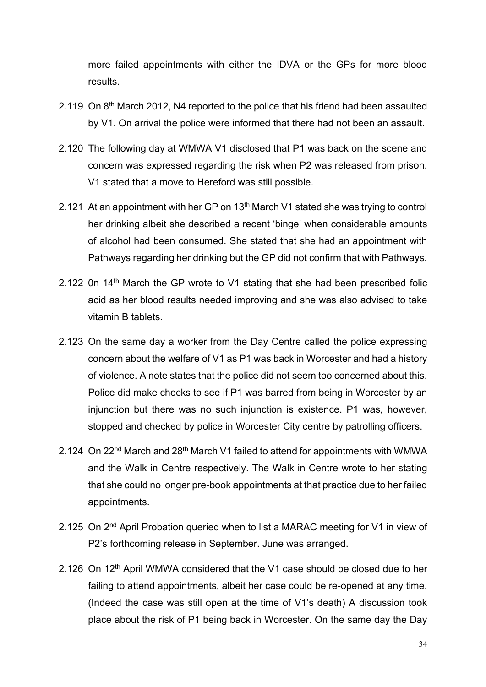more failed appointments with either the IDVA or the GPs for more blood results.

- 2.119 On 8<sup>th</sup> March 2012, N4 reported to the police that his friend had been assaulted by V1. On arrival the police were informed that there had not been an assault.
- 2.120 The following day at WMWA V1 disclosed that P1 was back on the scene and concern was expressed regarding the risk when P2 was released from prison. V1 stated that a move to Hereford was still possible.
- 2.121 At an appointment with her GP on 13<sup>th</sup> March V1 stated she was trying to control her drinking albeit she described a recent 'binge' when considerable amounts of alcohol had been consumed. She stated that she had an appointment with Pathways regarding her drinking but the GP did not confirm that with Pathways.
- 2.122 0n 14<sup>th</sup> March the GP wrote to V1 stating that she had been prescribed folic acid as her blood results needed improving and she was also advised to take vitamin B tablets.
- 2.123 On the same day a worker from the Day Centre called the police expressing concern about the welfare of V1 as P1 was back in Worcester and had a history of violence. A note states that the police did not seem too concerned about this. Police did make checks to see if P1 was barred from being in Worcester by an injunction but there was no such injunction is existence. P1 was, however, stopped and checked by police in Worcester City centre by patrolling officers.
- 2.124 On 22<sup>nd</sup> March and 28<sup>th</sup> March V1 failed to attend for appointments with WMWA and the Walk in Centre respectively. The Walk in Centre wrote to her stating that she could no longer pre-book appointments at that practice due to her failed appointments.
- 2.125 On 2<sup>nd</sup> April Probation queried when to list a MARAC meeting for V1 in view of P2's forthcoming release in September. June was arranged.
- 2.126 On 12<sup>th</sup> April WMWA considered that the V1 case should be closed due to her failing to attend appointments, albeit her case could be re-opened at any time. (Indeed the case was still open at the time of V1's death) A discussion took place about the risk of P1 being back in Worcester. On the same day the Day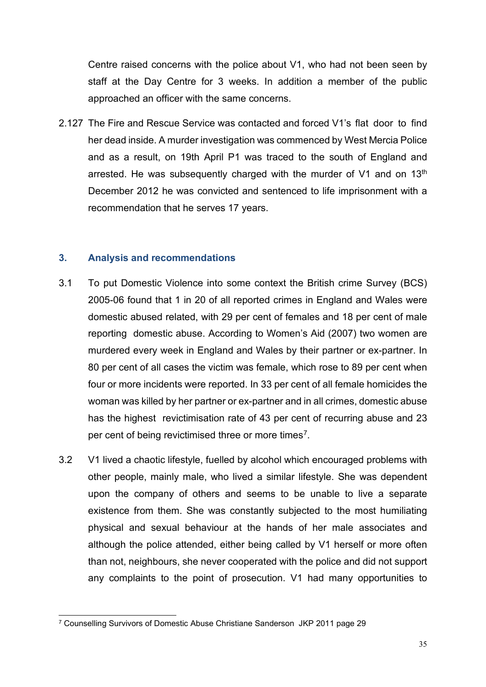Centre raised concerns with the police about V1, who had not been seen by staff at the Day Centre for 3 weeks. In addition a member of the public approached an officer with the same concerns.

2.127 The Fire and Rescue Service was contacted and forced V1's flat door to find her dead inside. A murder investigation was commenced by West Mercia Police and as a result, on 19th April P1 was traced to the south of England and arrested. He was subsequently charged with the murder of  $V1$  and on  $13<sup>th</sup>$ December 2012 he was convicted and sentenced to life imprisonment with a recommendation that he serves 17 years.

#### **3. Analysis and recommendations**

- 3.1 To put Domestic Violence into some context the British crime Survey (BCS) 2005-06 found that 1 in 20 of all reported crimes in England and Wales were domestic abused related, with 29 per cent of females and 18 per cent of male reporting domestic abuse. According to Women's Aid (2007) two women are murdered every week in England and Wales by their partner or ex-partner. In 80 per cent of all cases the victim was female, which rose to 89 per cent when four or more incidents were reported. In 33 per cent of all female homicides the woman was killed by her partner or ex-partner and in all crimes, domestic abuse has the highest revictimisation rate of 43 per cent of recurring abuse and 23 per cent of being revictimised three or more times[7](#page-34-0).
- 3.2 V1 lived a chaotic lifestyle, fuelled by alcohol which encouraged problems with other people, mainly male, who lived a similar lifestyle. She was dependent upon the company of others and seems to be unable to live a separate existence from them. She was constantly subjected to the most humiliating physical and sexual behaviour at the hands of her male associates and although the police attended, either being called by V1 herself or more often than not, neighbours, she never cooperated with the police and did not support any complaints to the point of prosecution. V1 had many opportunities to

<span id="page-34-0"></span><sup>7</sup> Counselling Survivors of Domestic Abuse Christiane Sanderson JKP 2011 page 29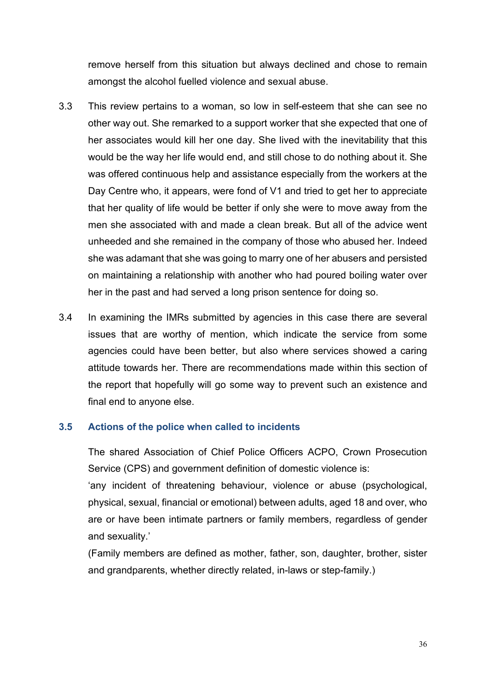remove herself from this situation but always declined and chose to remain amongst the alcohol fuelled violence and sexual abuse.

- 3.3 This review pertains to a woman, so low in self-esteem that she can see no other way out. She remarked to a support worker that she expected that one of her associates would kill her one day. She lived with the inevitability that this would be the way her life would end, and still chose to do nothing about it. She was offered continuous help and assistance especially from the workers at the Day Centre who, it appears, were fond of V1 and tried to get her to appreciate that her quality of life would be better if only she were to move away from the men she associated with and made a clean break. But all of the advice went unheeded and she remained in the company of those who abused her. Indeed she was adamant that she was going to marry one of her abusers and persisted on maintaining a relationship with another who had poured boiling water over her in the past and had served a long prison sentence for doing so.
- 3.4 In examining the IMRs submitted by agencies in this case there are several issues that are worthy of mention, which indicate the service from some agencies could have been better, but also where services showed a caring attitude towards her. There are recommendations made within this section of the report that hopefully will go some way to prevent such an existence and final end to anyone else.

## **3.5 Actions of the police when called to incidents**

The shared Association of Chief Police Officers ACPO, Crown Prosecution Service (CPS) and government definition of domestic violence is:

'any incident of threatening behaviour, violence or abuse (psychological, physical, sexual, financial or emotional) between adults, aged 18 and over, who are or have been intimate partners or family members, regardless of gender and sexuality.'

(Family members are defined as mother, father, son, daughter, brother, sister and grandparents, whether directly related, in-laws or step-family.)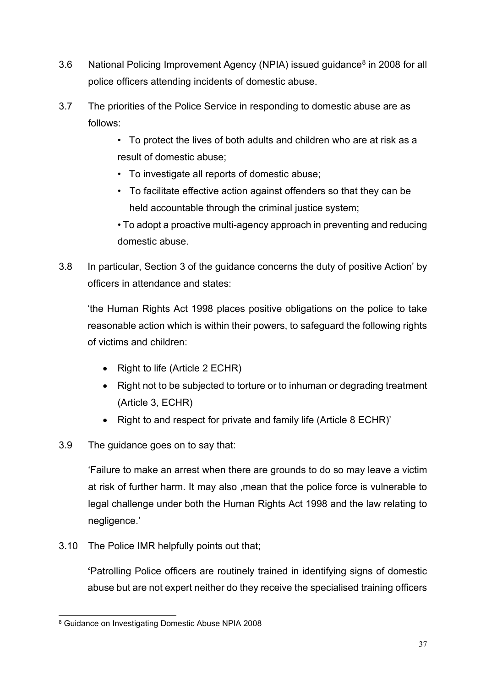- 3.6 National Policing Improvement Agency (NPIA) issued guidance<sup>[8](#page-36-0)</sup> in 2008 for all police officers attending incidents of domestic abuse.
- 3.7 The priorities of the Police Service in responding to domestic abuse are as follows:
	- To protect the lives of both adults and children who are at risk as a result of domestic abuse;
	- To investigate all reports of domestic abuse;
	- To facilitate effective action against offenders so that they can be held accountable through the criminal justice system;
	- To adopt a proactive multi-agency approach in preventing and reducing domestic abuse.
- 3.8 In particular, Section 3 of the guidance concerns the duty of positive Action' by officers in attendance and states:

'the Human Rights Act 1998 places positive obligations on the police to take reasonable action which is within their powers, to safeguard the following rights of victims and children:

- Right to life (Article 2 ECHR)
- Right not to be subjected to torture or to inhuman or degrading treatment (Article 3, ECHR)
- Right to and respect for private and family life (Article 8 ECHR)'
- 3.9 The guidance goes on to say that:

'Failure to make an arrest when there are grounds to do so may leave a victim at risk of further harm. It may also ,mean that the police force is vulnerable to legal challenge under both the Human Rights Act 1998 and the law relating to negligence.'

3.10 The Police IMR helpfully points out that;

**'**Patrolling Police officers are routinely trained in identifying signs of domestic abuse but are not expert neither do they receive the specialised training officers

<span id="page-36-0"></span><sup>8</sup> Guidance on Investigating Domestic Abuse NPIA 2008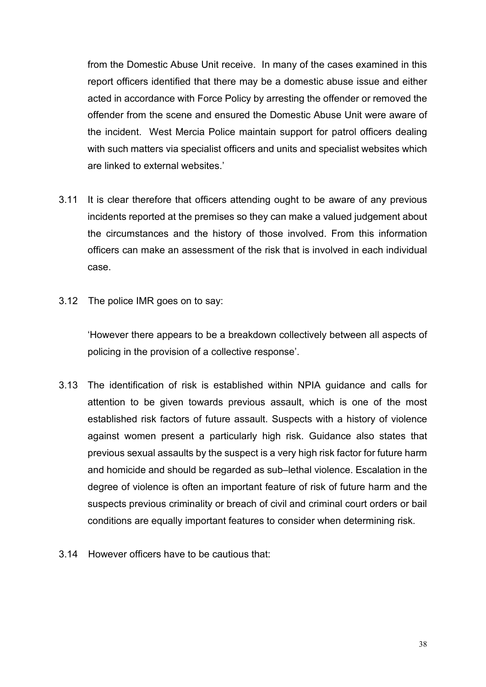from the Domestic Abuse Unit receive. In many of the cases examined in this report officers identified that there may be a domestic abuse issue and either acted in accordance with Force Policy by arresting the offender or removed the offender from the scene and ensured the Domestic Abuse Unit were aware of the incident. West Mercia Police maintain support for patrol officers dealing with such matters via specialist officers and units and specialist websites which are linked to external websites.'

- 3.11 It is clear therefore that officers attending ought to be aware of any previous incidents reported at the premises so they can make a valued judgement about the circumstances and the history of those involved. From this information officers can make an assessment of the risk that is involved in each individual case.
- 3.12 The police IMR goes on to say:

'However there appears to be a breakdown collectively between all aspects of policing in the provision of a collective response'.

- 3.13 The identification of risk is established within NPIA guidance and calls for attention to be given towards previous assault, which is one of the most established risk factors of future assault. Suspects with a history of violence against women present a particularly high risk. Guidance also states that previous sexual assaults by the suspect is a very high risk factor for future harm and homicide and should be regarded as sub–lethal violence. Escalation in the degree of violence is often an important feature of risk of future harm and the suspects previous criminality or breach of civil and criminal court orders or bail conditions are equally important features to consider when determining risk.
- 3.14 However officers have to be cautious that: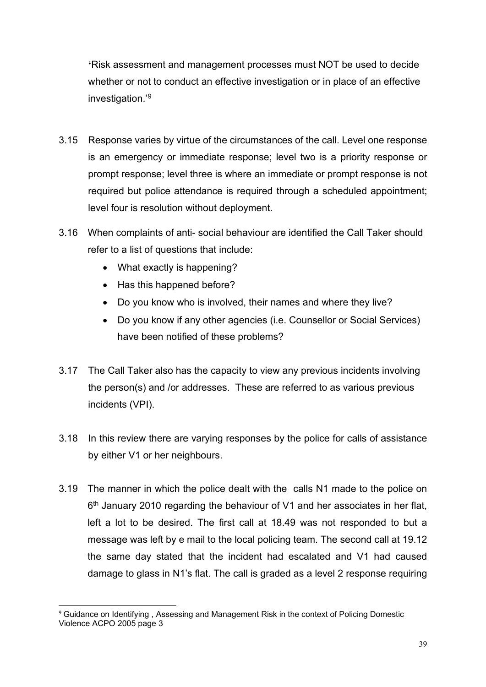**'**Risk assessment and management processes must NOT be used to decide whether or not to conduct an effective investigation or in place of an effective investigation.'[9](#page-38-0)

- 3.15 Response varies by virtue of the circumstances of the call. Level one response is an emergency or immediate response; level two is a priority response or prompt response; level three is where an immediate or prompt response is not required but police attendance is required through a scheduled appointment; level four is resolution without deployment.
- 3.16 When complaints of anti- social behaviour are identified the Call Taker should refer to a list of questions that include:
	- What exactly is happening?
	- Has this happened before?
	- Do you know who is involved, their names and where they live?
	- Do you know if any other agencies (i.e. Counsellor or Social Services) have been notified of these problems?
- 3.17 The Call Taker also has the capacity to view any previous incidents involving the person(s) and /or addresses. These are referred to as various previous incidents (VPI).
- 3.18 In this review there are varying responses by the police for calls of assistance by either V1 or her neighbours.
- 3.19 The manner in which the police dealt with the calls N1 made to the police on  $6<sup>th</sup>$  January 2010 regarding the behaviour of V1 and her associates in her flat, left a lot to be desired. The first call at 18.49 was not responded to but a message was left by e mail to the local policing team. The second call at 19.12 the same day stated that the incident had escalated and V1 had caused damage to glass in N1's flat. The call is graded as a level 2 response requiring

<span id="page-38-0"></span><sup>&</sup>lt;sup>9</sup> Guidance on Identifying, Assessing and Management Risk in the context of Policing Domestic Violence ACPO 2005 page 3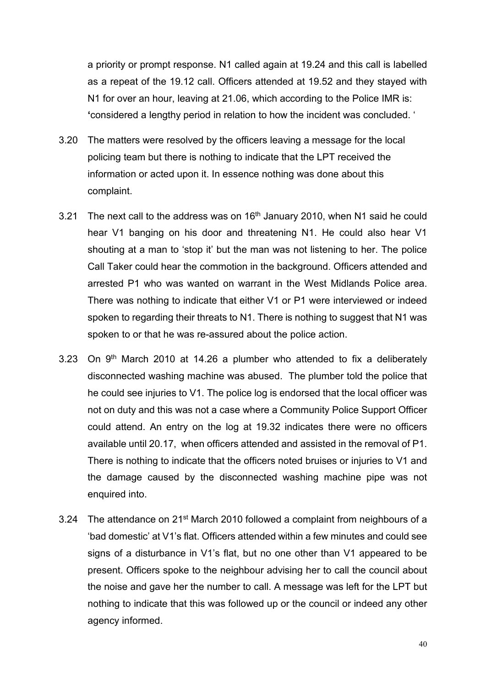a priority or prompt response. N1 called again at 19.24 and this call is labelled as a repeat of the 19.12 call. Officers attended at 19.52 and they stayed with N1 for over an hour, leaving at 21.06, which according to the Police IMR is: **'**considered a lengthy period in relation to how the incident was concluded. '

- 3.20 The matters were resolved by the officers leaving a message for the local policing team but there is nothing to indicate that the LPT received the information or acted upon it. In essence nothing was done about this complaint.
- 3.21 The next call to the address was on 16<sup>th</sup> January 2010, when N1 said he could hear V1 banging on his door and threatening N1. He could also hear V1 shouting at a man to 'stop it' but the man was not listening to her. The police Call Taker could hear the commotion in the background. Officers attended and arrested P1 who was wanted on warrant in the West Midlands Police area. There was nothing to indicate that either V1 or P1 were interviewed or indeed spoken to regarding their threats to N1. There is nothing to suggest that N1 was spoken to or that he was re-assured about the police action.
- 3.23 On  $9<sup>th</sup>$  March 2010 at 14.26 a plumber who attended to fix a deliberately disconnected washing machine was abused. The plumber told the police that he could see injuries to V1. The police log is endorsed that the local officer was not on duty and this was not a case where a Community Police Support Officer could attend. An entry on the log at 19.32 indicates there were no officers available until 20.17, when officers attended and assisted in the removal of P1. There is nothing to indicate that the officers noted bruises or injuries to V1 and the damage caused by the disconnected washing machine pipe was not enquired into.
- 3.24 The attendance on 21st March 2010 followed a complaint from neighbours of a 'bad domestic' at V1's flat. Officers attended within a few minutes and could see signs of a disturbance in V1's flat, but no one other than V1 appeared to be present. Officers spoke to the neighbour advising her to call the council about the noise and gave her the number to call. A message was left for the LPT but nothing to indicate that this was followed up or the council or indeed any other agency informed.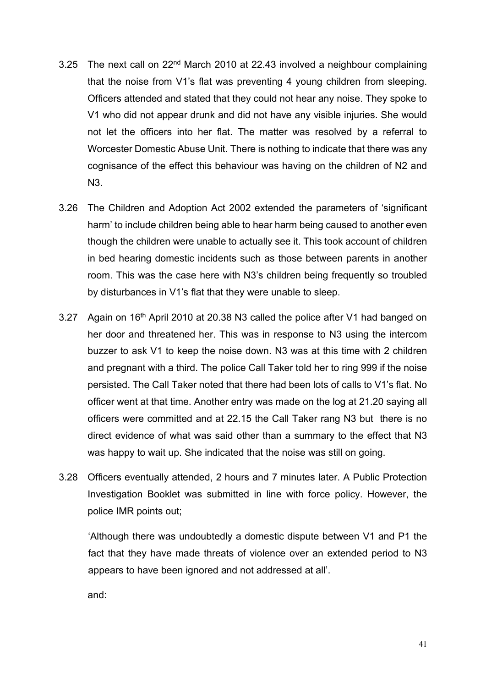- 3.25 The next call on 22nd March 2010 at 22.43 involved a neighbour complaining that the noise from V1's flat was preventing 4 young children from sleeping. Officers attended and stated that they could not hear any noise. They spoke to V1 who did not appear drunk and did not have any visible injuries. She would not let the officers into her flat. The matter was resolved by a referral to Worcester Domestic Abuse Unit. There is nothing to indicate that there was any cognisance of the effect this behaviour was having on the children of N2 and N3.
- 3.26 The Children and Adoption Act 2002 extended the parameters of 'significant harm' to include children being able to hear harm being caused to another even though the children were unable to actually see it. This took account of children in bed hearing domestic incidents such as those between parents in another room. This was the case here with N3's children being frequently so troubled by disturbances in V1's flat that they were unable to sleep.
- 3.27 Again on 16th April 2010 at 20.38 N3 called the police after V1 had banged on her door and threatened her. This was in response to N3 using the intercom buzzer to ask V1 to keep the noise down. N3 was at this time with 2 children and pregnant with a third. The police Call Taker told her to ring 999 if the noise persisted. The Call Taker noted that there had been lots of calls to V1's flat. No officer went at that time. Another entry was made on the log at 21.20 saying all officers were committed and at 22.15 the Call Taker rang N3 but there is no direct evidence of what was said other than a summary to the effect that N3 was happy to wait up. She indicated that the noise was still on going.
- 3.28 Officers eventually attended, 2 hours and 7 minutes later. A Public Protection Investigation Booklet was submitted in line with force policy. However, the police IMR points out;

'Although there was undoubtedly a domestic dispute between V1 and P1 the fact that they have made threats of violence over an extended period to N3 appears to have been ignored and not addressed at all'.

and: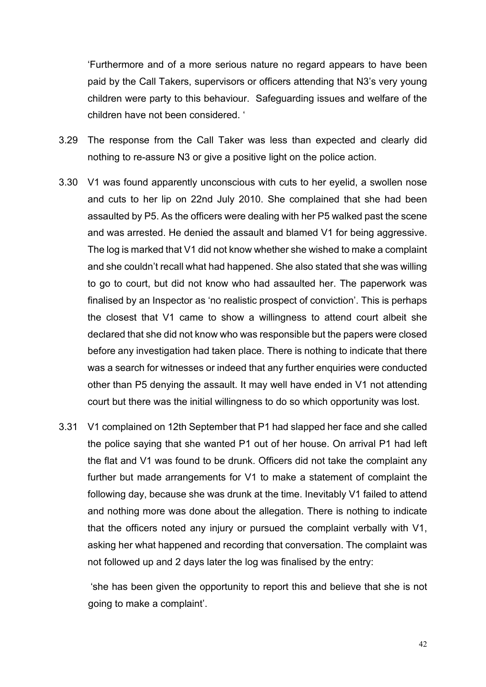'Furthermore and of a more serious nature no regard appears to have been paid by the Call Takers, supervisors or officers attending that N3's very young children were party to this behaviour. Safeguarding issues and welfare of the children have not been considered. '

- 3.29 The response from the Call Taker was less than expected and clearly did nothing to re-assure N3 or give a positive light on the police action.
- 3.30 V1 was found apparently unconscious with cuts to her eyelid, a swollen nose and cuts to her lip on 22nd July 2010. She complained that she had been assaulted by P5. As the officers were dealing with her P5 walked past the scene and was arrested. He denied the assault and blamed V1 for being aggressive. The log is marked that V1 did not know whether she wished to make a complaint and she couldn't recall what had happened. She also stated that she was willing to go to court, but did not know who had assaulted her. The paperwork was finalised by an Inspector as 'no realistic prospect of conviction'. This is perhaps the closest that V1 came to show a willingness to attend court albeit she declared that she did not know who was responsible but the papers were closed before any investigation had taken place. There is nothing to indicate that there was a search for witnesses or indeed that any further enquiries were conducted other than P5 denying the assault. It may well have ended in V1 not attending court but there was the initial willingness to do so which opportunity was lost.
- 3.31 V1 complained on 12th September that P1 had slapped her face and she called the police saying that she wanted P1 out of her house. On arrival P1 had left the flat and V1 was found to be drunk. Officers did not take the complaint any further but made arrangements for V1 to make a statement of complaint the following day, because she was drunk at the time. Inevitably V1 failed to attend and nothing more was done about the allegation. There is nothing to indicate that the officers noted any injury or pursued the complaint verbally with V1, asking her what happened and recording that conversation. The complaint was not followed up and 2 days later the log was finalised by the entry:

'she has been given the opportunity to report this and believe that she is not going to make a complaint'.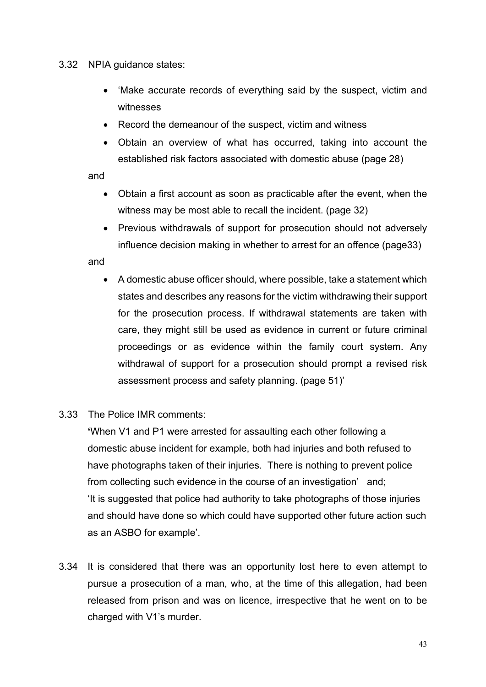## 3.32 NPIA guidance states:

- 'Make accurate records of everything said by the suspect, victim and witnesses
- Record the demeanour of the suspect, victim and witness
- Obtain an overview of what has occurred, taking into account the established risk factors associated with domestic abuse (page 28)

and

- Obtain a first account as soon as practicable after the event, when the witness may be most able to recall the incident. (page 32)
- Previous withdrawals of support for prosecution should not adversely influence decision making in whether to arrest for an offence (page33)

and

- A domestic abuse officer should, where possible, take a statement which states and describes any reasons for the victim withdrawing their support for the prosecution process. If withdrawal statements are taken with care, they might still be used as evidence in current or future criminal proceedings or as evidence within the family court system. Any withdrawal of support for a prosecution should prompt a revised risk assessment process and safety planning. (page 51)'
- 3.33 The Police IMR comments:

**'**When V1 and P1 were arrested for assaulting each other following a domestic abuse incident for example, both had injuries and both refused to have photographs taken of their injuries. There is nothing to prevent police from collecting such evidence in the course of an investigation' and; 'It is suggested that police had authority to take photographs of those injuries and should have done so which could have supported other future action such as an ASBO for example'.

3.34 It is considered that there was an opportunity lost here to even attempt to pursue a prosecution of a man, who, at the time of this allegation, had been released from prison and was on licence, irrespective that he went on to be charged with V1's murder.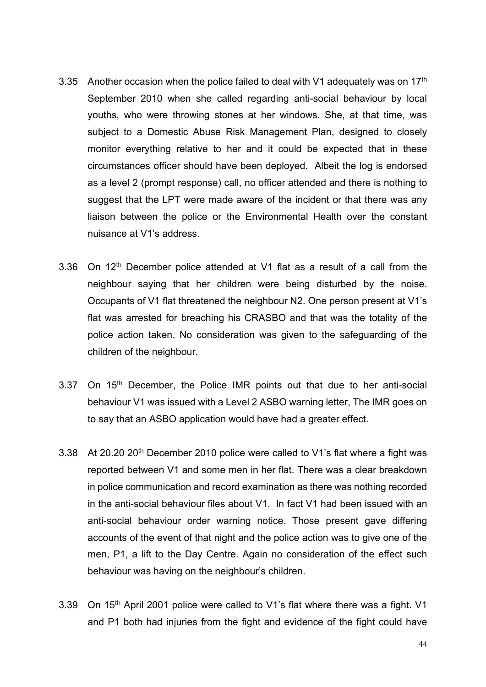- 3.35 Another occasion when the police failed to deal with V1 adequately was on  $17<sup>th</sup>$ September 2010 when she called regarding anti-social behaviour by local youths, who were throwing stones at her windows. She, at that time, was subject to a Domestic Abuse Risk Management Plan, designed to closely monitor everything relative to her and it could be expected that in these circumstances officer should have been deployed. Albeit the log is endorsed as a level 2 (prompt response) call, no officer attended and there is nothing to suggest that the LPT were made aware of the incident or that there was any liaison between the police or the Environmental Health over the constant nuisance at V1's address.
- 3.36 On 12<sup>th</sup> December police attended at V1 flat as a result of a call from the neighbour saying that her children were being disturbed by the noise. Occupants of V1 flat threatened the neighbour N2. One person present at V1's flat was arrested for breaching his CRASBO and that was the totality of the police action taken. No consideration was given to the safeguarding of the children of the neighbour.
- 3.37 On 15<sup>th</sup> December, the Police IMR points out that due to her anti-social behaviour V1 was issued with a Level 2 ASBO warning letter, The IMR goes on to say that an ASBO application would have had a greater effect.
- 3.38 At 20.20 20th December 2010 police were called to V1's flat where a fight was reported between V1 and some men in her flat. There was a clear breakdown in police communication and record examination as there was nothing recorded in the anti-social behaviour files about V1. In fact V1 had been issued with an anti-social behaviour order warning notice. Those present gave differing accounts of the event of that night and the police action was to give one of the men, P1, a lift to the Day Centre. Again no consideration of the effect such behaviour was having on the neighbour's children.
- 3.39 On 15<sup>th</sup> April 2001 police were called to V1's flat where there was a fight. V1 and P1 both had injuries from the fight and evidence of the fight could have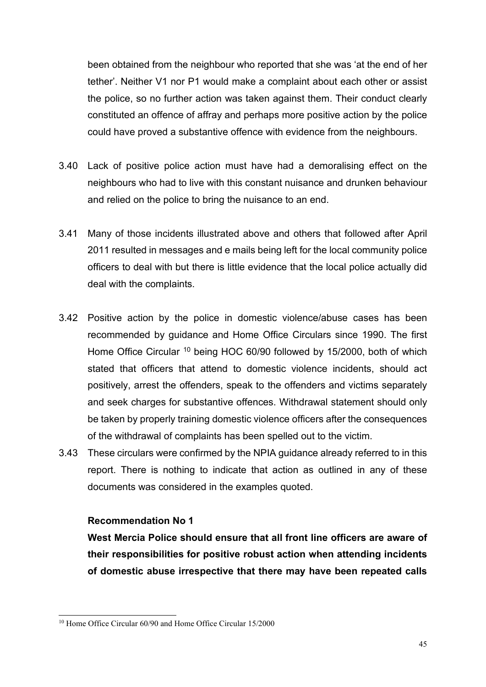been obtained from the neighbour who reported that she was 'at the end of her tether'. Neither V1 nor P1 would make a complaint about each other or assist the police, so no further action was taken against them. Their conduct clearly constituted an offence of affray and perhaps more positive action by the police could have proved a substantive offence with evidence from the neighbours.

- 3.40 Lack of positive police action must have had a demoralising effect on the neighbours who had to live with this constant nuisance and drunken behaviour and relied on the police to bring the nuisance to an end.
- 3.41 Many of those incidents illustrated above and others that followed after April 2011 resulted in messages and e mails being left for the local community police officers to deal with but there is little evidence that the local police actually did deal with the complaints.
- 3.42 Positive action by the police in domestic violence/abuse cases has been recommended by guidance and Home Office Circulars since 1990. The first Home Office Circular <sup>[10](#page-44-0)</sup> being HOC 60/90 followed by 15/2000, both of which stated that officers that attend to domestic violence incidents, should act positively, arrest the offenders, speak to the offenders and victims separately and seek charges for substantive offences. Withdrawal statement should only be taken by properly training domestic violence officers after the consequences of the withdrawal of complaints has been spelled out to the victim.
- 3.43 These circulars were confirmed by the NPIA guidance already referred to in this report. There is nothing to indicate that action as outlined in any of these documents was considered in the examples quoted.

## **Recommendation No 1**

**West Mercia Police should ensure that all front line officers are aware of their responsibilities for positive robust action when attending incidents of domestic abuse irrespective that there may have been repeated calls** 

<span id="page-44-0"></span><sup>10</sup> Home Office Circular 60/90 and Home Office Circular 15/2000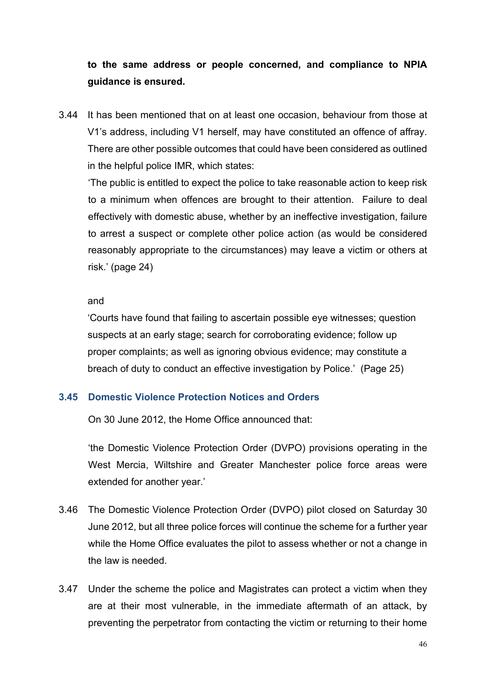# **to the same address or people concerned, and compliance to NPIA guidance is ensured.**

3.44 It has been mentioned that on at least one occasion, behaviour from those at V1's address, including V1 herself, may have constituted an offence of affray. There are other possible outcomes that could have been considered as outlined in the helpful police IMR, which states:

'The public is entitled to expect the police to take reasonable action to keep risk to a minimum when offences are brought to their attention. Failure to deal effectively with domestic abuse, whether by an ineffective investigation, failure to arrest a suspect or complete other police action (as would be considered reasonably appropriate to the circumstances) may leave a victim or others at risk.' (page 24)

#### and

'Courts have found that failing to ascertain possible eye witnesses; question suspects at an early stage; search for corroborating evidence; follow up proper complaints; as well as ignoring obvious evidence; may constitute a breach of duty to conduct an effective investigation by Police.' (Page 25)

# **3.45 Domestic Violence Protection Notices and Orders**

On 30 June 2012, the Home Office announced that:

'the Domestic Violence Protection Order (DVPO) provisions operating in the West Mercia, Wiltshire and Greater Manchester police force areas were extended for another year.'

- 3.46 The Domestic Violence Protection Order (DVPO) pilot closed on Saturday 30 June 2012, but all three police forces will continue the scheme for a further year while the Home Office evaluates the pilot to assess whether or not a change in the law is needed.
- 3.47 Under the scheme the police and Magistrates can protect a victim when they are at their most vulnerable, in the immediate aftermath of an attack, by preventing the perpetrator from contacting the victim or returning to their home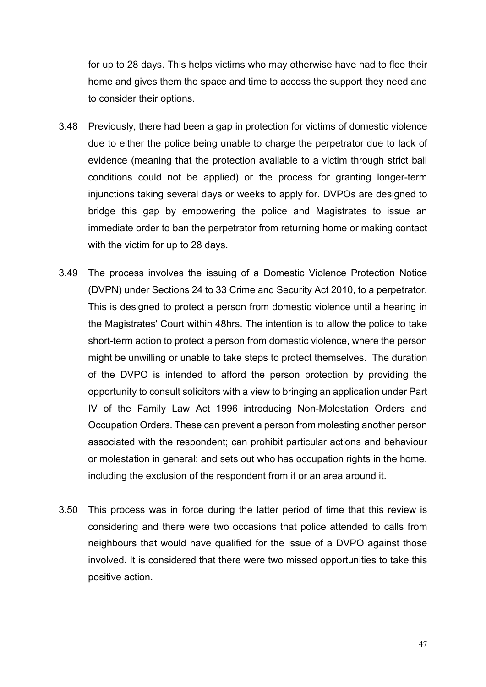for up to 28 days. This helps victims who may otherwise have had to flee their home and gives them the space and time to access the support they need and to consider their options.

- 3.48 Previously, there had been a gap in protection for victims of domestic violence due to either the police being unable to charge the perpetrator due to lack of evidence (meaning that the protection available to a victim through strict bail conditions could not be applied) or the process for granting longer-term injunctions taking several days or weeks to apply for. DVPOs are designed to bridge this gap by empowering the police and Magistrates to issue an immediate order to ban the perpetrator from returning home or making contact with the victim for up to 28 days.
- 3.49 The process involves the issuing of a Domestic Violence Protection Notice (DVPN) under Sections 24 to 33 Crime and Security Act 2010, to a perpetrator. This is designed to protect a person from domestic violence until a hearing in the Magistrates' Court within 48hrs. The intention is to allow the police to take short-term action to protect a person from domestic violence, where the person might be unwilling or unable to take steps to protect themselves. The duration of the DVPO is intended to afford the person protection by providing the opportunity to consult solicitors with a view to bringing an application under Part IV of the Family Law Act 1996 introducing [Non-Molestation Orders](http://learning.intranet.wmcpolice/content/pvh/D41119.htm#non-molestation_orders#non-molestation_orders) and [Occupation Orders.](http://learning.intranet.wmcpolice/content/pvh/D41119.htm#occupation_orders#occupation_orders) These can prevent a person from molesting another person associated with the respondent; can prohibit particular actions and behaviour or molestation in general; and sets out who has occupation rights in the home, including the exclusion of the respondent from it or an area around it.
- 3.50 This process was in force during the latter period of time that this review is considering and there were two occasions that police attended to calls from neighbours that would have qualified for the issue of a DVPO against those involved. It is considered that there were two missed opportunities to take this positive action.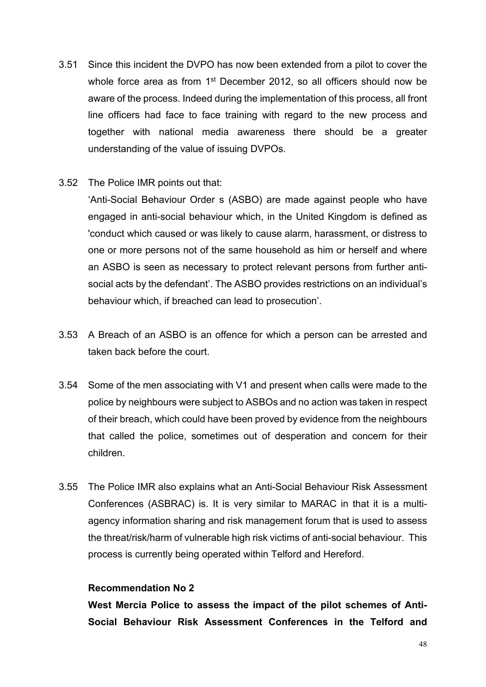- 3.51 Since this incident the DVPO has now been extended from a pilot to cover the whole force area as from 1<sup>st</sup> December 2012, so all officers should now be aware of the process. Indeed during the implementation of this process, all front line officers had face to face training with regard to the new process and together with national media awareness there should be a greater understanding of the value of issuing DVPOs.
- 3.52 The Police IMR points out that:

'Anti-Social Behaviour Order s (ASBO) are made against people who have engaged in [anti-social behaviour](http://en.wikipedia.org/wiki/Anti-social_behaviour) which, in the United Kingdom is defined as 'conduct which caused or was likely to cause alarm, [harassment,](http://en.wikipedia.org/wiki/Harassment) or distress to one or more persons not of the same household as him or herself and where an ASBO is seen as necessary to protect relevant persons from further antisocial acts by the defendant'. The ASBO provides restrictions on an individual's behaviour which, if breached can lead to prosecution'.

- 3.53 A Breach of an ASBO is an offence for which a person can be arrested and taken back before the court.
- 3.54 Some of the men associating with V1 and present when calls were made to the police by neighbours were subject to ASBOs and no action was taken in respect of their breach, which could have been proved by evidence from the neighbours that called the police, sometimes out of desperation and concern for their children.
- 3.55 The Police IMR also explains what an [Anti-Social Behaviour Risk](http://en.wikipedia.org/wiki/Anti-Social_Behaviour_Order) Assessment Conferences (ASBRAC) is. It is very similar to MARAC in that it is a multiagency information sharing and risk management forum that is used to assess the threat/risk/harm of vulnerable high risk victims of anti-social behaviour. This process is currently being operated within Telford and Hereford.

## **Recommendation No 2**

**West Mercia Police to assess the impact of the pilot schemes of Anti-Social Behaviour Risk Assessment Conferences in the Telford and**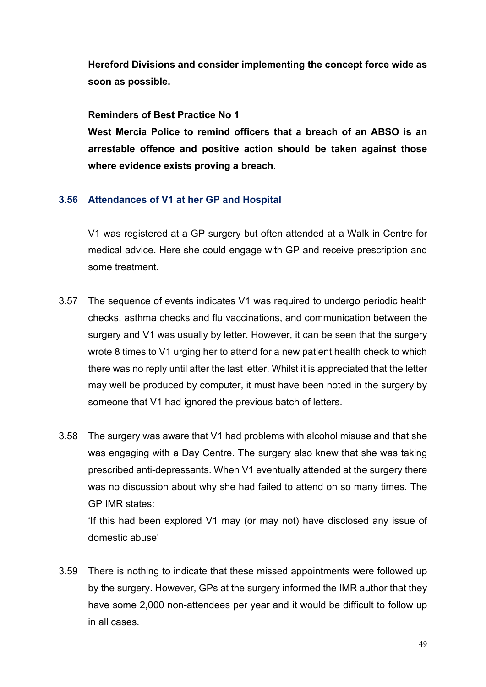**Hereford Divisions and consider implementing the concept force wide as soon as possible.**

## **Reminders of Best Practice No 1**

**West Mercia Police to remind officers that a breach of an ABSO is an arrestable offence and positive action should be taken against those where evidence exists proving a breach.**

# **3.56 Attendances of V1 at her GP and Hospital**

V1 was registered at a GP surgery but often attended at a Walk in Centre for medical advice. Here she could engage with GP and receive prescription and some treatment.

- 3.57 The sequence of events indicates V1 was required to undergo periodic health checks, asthma checks and flu vaccinations, and communication between the surgery and V1 was usually by letter. However, it can be seen that the surgery wrote 8 times to V1 urging her to attend for a new patient health check to which there was no reply until after the last letter. Whilst it is appreciated that the letter may well be produced by computer, it must have been noted in the surgery by someone that V1 had ignored the previous batch of letters.
- 3.58 The surgery was aware that V1 had problems with alcohol misuse and that she was engaging with a Day Centre. The surgery also knew that she was taking prescribed anti-depressants. When V1 eventually attended at the surgery there was no discussion about why she had failed to attend on so many times. The GP IMR states:

'If this had been explored V1 may (or may not) have disclosed any issue of domestic abuse'

3.59 There is nothing to indicate that these missed appointments were followed up by the surgery. However, GPs at the surgery informed the IMR author that they have some 2,000 non-attendees per year and it would be difficult to follow up in all cases.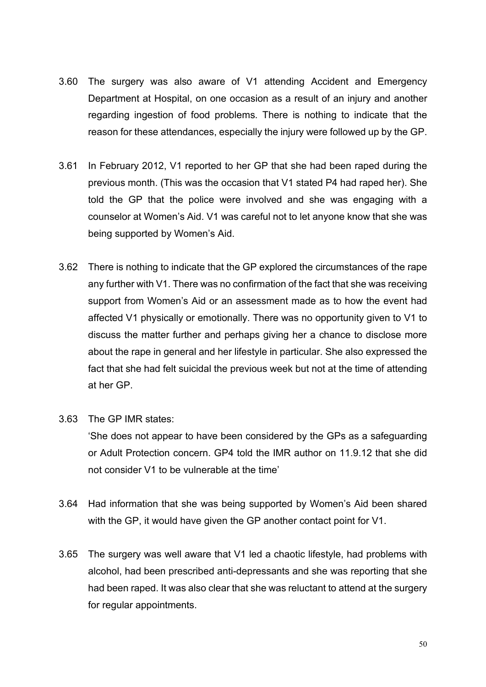- 3.60 The surgery was also aware of V1 attending Accident and Emergency Department at Hospital, on one occasion as a result of an injury and another regarding ingestion of food problems. There is nothing to indicate that the reason for these attendances, especially the injury were followed up by the GP.
- 3.61 In February 2012, V1 reported to her GP that she had been raped during the previous month. (This was the occasion that V1 stated P4 had raped her). She told the GP that the police were involved and she was engaging with a counselor at Women's Aid. V1 was careful not to let anyone know that she was being supported by Women's Aid.
- 3.62 There is nothing to indicate that the GP explored the circumstances of the rape any further with V1. There was no confirmation of the fact that she was receiving support from Women's Aid or an assessment made as to how the event had affected V1 physically or emotionally. There was no opportunity given to V1 to discuss the matter further and perhaps giving her a chance to disclose more about the rape in general and her lifestyle in particular. She also expressed the fact that she had felt suicidal the previous week but not at the time of attending at her GP.
- 3.63 The GP IMR states:

'She does not appear to have been considered by the GPs as a safeguarding or Adult Protection concern. GP4 told the IMR author on 11.9.12 that she did not consider V1 to be vulnerable at the time'

- 3.64 Had information that she was being supported by Women's Aid been shared with the GP, it would have given the GP another contact point for V1.
- 3.65 The surgery was well aware that V1 led a chaotic lifestyle, had problems with alcohol, had been prescribed anti-depressants and she was reporting that she had been raped. It was also clear that she was reluctant to attend at the surgery for regular appointments.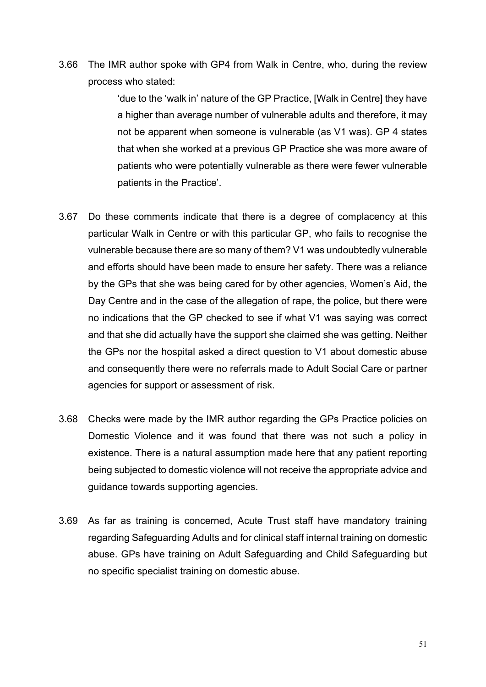3.66 The IMR author spoke with GP4 from Walk in Centre, who, during the review process who stated:

> 'due to the 'walk in' nature of the GP Practice, [Walk in Centre] they have a higher than average number of vulnerable adults and therefore, it may not be apparent when someone is vulnerable (as V1 was). GP 4 states that when she worked at a previous GP Practice she was more aware of patients who were potentially vulnerable as there were fewer vulnerable patients in the Practice'.

- 3.67 Do these comments indicate that there is a degree of complacency at this particular Walk in Centre or with this particular GP, who fails to recognise the vulnerable because there are so many of them? V1 was undoubtedly vulnerable and efforts should have been made to ensure her safety. There was a reliance by the GPs that she was being cared for by other agencies, Women's Aid, the Day Centre and in the case of the allegation of rape, the police, but there were no indications that the GP checked to see if what V1 was saying was correct and that she did actually have the support she claimed she was getting. Neither the GPs nor the hospital asked a direct question to V1 about domestic abuse and consequently there were no referrals made to Adult Social Care or partner agencies for support or assessment of risk.
- 3.68 Checks were made by the IMR author regarding the GPs Practice policies on Domestic Violence and it was found that there was not such a policy in existence. There is a natural assumption made here that any patient reporting being subjected to domestic violence will not receive the appropriate advice and guidance towards supporting agencies.
- 3.69 As far as training is concerned, Acute Trust staff have mandatory training regarding Safeguarding Adults and for clinical staff internal training on domestic abuse. GPs have training on Adult Safeguarding and Child Safeguarding but no specific specialist training on domestic abuse.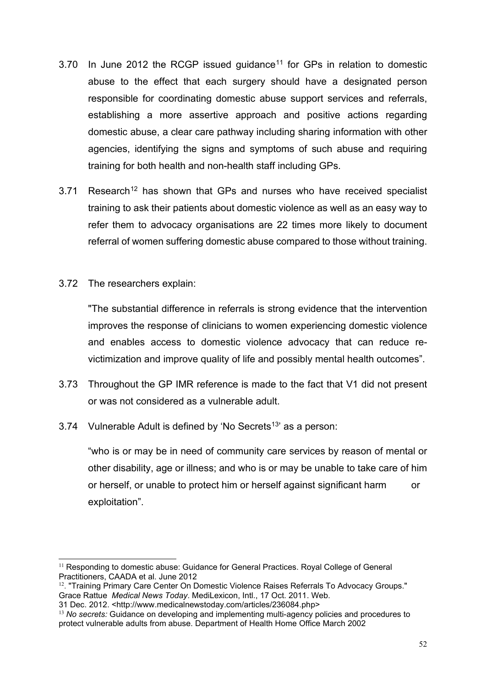- 3.70 In June 2012 the RCGP issued guidance<sup>[11](#page-51-0)</sup> for GPs in relation to domestic abuse to the effect that each surgery should have a designated person responsible for coordinating domestic abuse support services and referrals, establishing a more assertive approach and positive actions regarding domestic abuse, a clear care pathway including sharing information with other agencies, identifying the signs and symptoms of such abuse and requiring training for both health and non-health staff including GPs.
- 3.71 Research<sup>[12](#page-51-1)</sup> has shown that GPs and nurses who have received specialist training to ask their patients about domestic violence as well as an easy way to refer them to advocacy organisations are 22 times more likely to document referral of women suffering domestic abuse compared to those without training.
- 3.72 The researchers explain:

"The substantial difference in referrals is strong evidence that the intervention improves the response of clinicians to women experiencing domestic violence and enables access to domestic violence advocacy that can reduce revictimization and improve quality of life and possibly mental health outcomes".

- 3.73 Throughout the GP IMR reference is made to the fact that V1 did not present or was not considered as a vulnerable adult.
- 3.74 Vulnerable Adult is defined by 'No Secrets[13'](#page-51-2) as a person:

"who is or may be in need of community care services by reason of mental or other disability, age or illness; and who is or may be unable to take care of him or herself, or unable to protect him or herself against significant harm or exploitation".

<span id="page-51-0"></span><sup>&</sup>lt;sup>11</sup> Responding to domestic abuse: Guidance for General Practices. Royal College of General Practitioners, CAADA et al. June 2012

<span id="page-51-1"></span><sup>12</sup>. "Training Primary Care Center On Domestic Violence Raises Referrals To Advocacy Groups." Grace Rattue *Medical News Today*. MediLexicon, Intl., 17 Oct. 2011. Web.

<sup>31</sup> Dec. 2012. <http://www.medicalnewstoday.com/articles/236084.php>

<span id="page-51-2"></span><sup>13</sup> *No secrets:* Guidance on developing and implementing multi-agency policies and procedures to protect vulnerable adults from abuse. Department of Health Home Office March 2002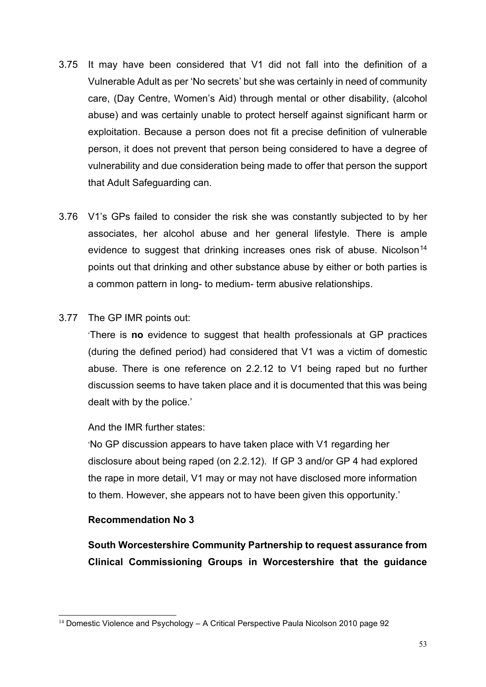- 3.75 It may have been considered that V1 did not fall into the definition of a Vulnerable Adult as per 'No secrets' but she was certainly in need of community care, (Day Centre, Women's Aid) through mental or other disability, (alcohol abuse) and was certainly unable to protect herself against significant harm or exploitation. Because a person does not fit a precise definition of vulnerable person, it does not prevent that person being considered to have a degree of vulnerability and due consideration being made to offer that person the support that Adult Safeguarding can.
- 3.76 V1's GPs failed to consider the risk she was constantly subjected to by her associates, her alcohol abuse and her general lifestyle. There is ample evidence to suggest that drinking increases ones risk of abuse. Nicolson<sup>[14](#page-52-0)</sup> points out that drinking and other substance abuse by either or both parties is a common pattern in long- to medium- term abusive relationships.

# 3.77 The GP IMR points out:

'There is **no** evidence to suggest that health professionals at GP practices (during the defined period) had considered that V1 was a victim of domestic abuse. There is one reference on 2.2.12 to V1 being raped but no further discussion seems to have taken place and it is documented that this was being dealt with by the police.'

## And the IMR further states:

'No GP discussion appears to have taken place with V1 regarding her disclosure about being raped (on 2.2.12). If GP 3 and/or GP 4 had explored the rape in more detail, V1 may or may not have disclosed more information to them. However, she appears not to have been given this opportunity.'

## **Recommendation No 3**

**South Worcestershire Community Partnership to request assurance from Clinical Commissioning Groups in Worcestershire that the guidance** 

<span id="page-52-0"></span> $14$  Domestic Violence and Psychology – A Critical Perspective Paula Nicolson 2010 page 92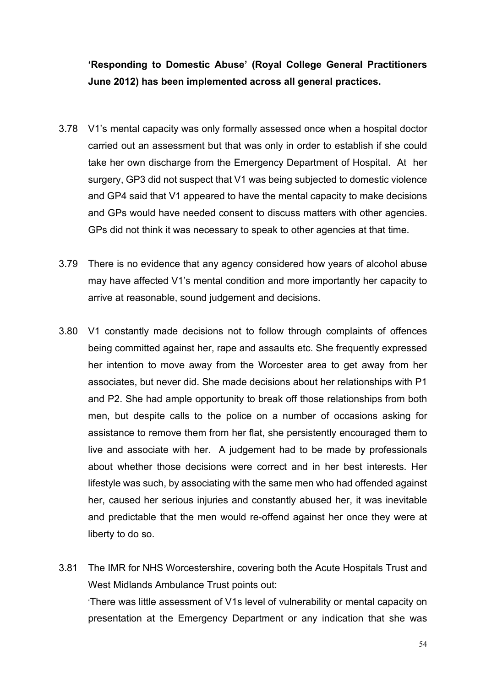# **'Responding to Domestic Abuse' (Royal College General Practitioners June 2012) has been implemented across all general practices.**

- 3.78 V1's mental capacity was only formally assessed once when a hospital doctor carried out an assessment but that was only in order to establish if she could take her own discharge from the Emergency Department of Hospital. At her surgery, GP3 did not suspect that V1 was being subjected to domestic violence and GP4 said that V1 appeared to have the mental capacity to make decisions and GPs would have needed consent to discuss matters with other agencies. GPs did not think it was necessary to speak to other agencies at that time.
- 3.79 There is no evidence that any agency considered how years of alcohol abuse may have affected V1's mental condition and more importantly her capacity to arrive at reasonable, sound judgement and decisions.
- 3.80 V1 constantly made decisions not to follow through complaints of offences being committed against her, rape and assaults etc. She frequently expressed her intention to move away from the Worcester area to get away from her associates, but never did. She made decisions about her relationships with P1 and P2. She had ample opportunity to break off those relationships from both men, but despite calls to the police on a number of occasions asking for assistance to remove them from her flat, she persistently encouraged them to live and associate with her. A judgement had to be made by professionals about whether those decisions were correct and in her best interests. Her lifestyle was such, by associating with the same men who had offended against her, caused her serious injuries and constantly abused her, it was inevitable and predictable that the men would re-offend against her once they were at liberty to do so.
- 3.81 The IMR for NHS Worcestershire, covering both the Acute Hospitals Trust and West Midlands Ambulance Trust points out: 'There was little assessment of V1s level of vulnerability or mental capacity on presentation at the Emergency Department or any indication that she was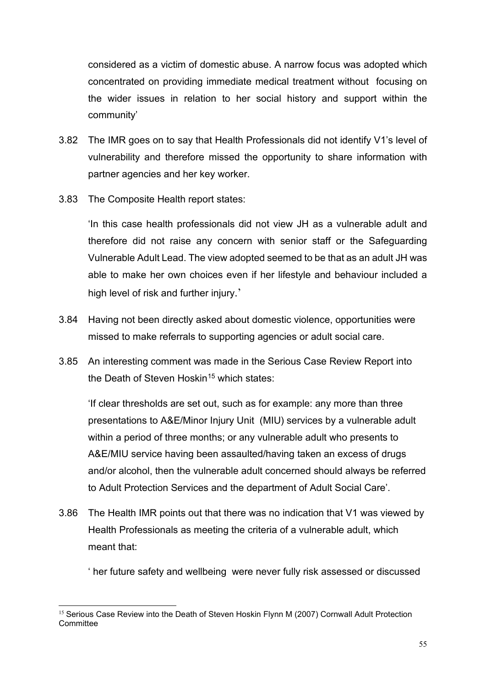considered as a victim of domestic abuse. A narrow focus was adopted which concentrated on providing immediate medical treatment without focusing on the wider issues in relation to her social history and support within the community'

- 3.82 The IMR goes on to say that Health Professionals did not identify V1's level of vulnerability and therefore missed the opportunity to share information with partner agencies and her key worker.
- 3.83 The Composite Health report states:

'In this case health professionals did not view JH as a vulnerable adult and therefore did not raise any concern with senior staff or the Safeguarding Vulnerable Adult Lead. The view adopted seemed to be that as an adult JH was able to make her own choices even if her lifestyle and behaviour included a high level of risk and further injury.'

- 3.84 Having not been directly asked about domestic violence, opportunities were missed to make referrals to supporting agencies or adult social care.
- 3.85 An interesting comment was made in the Serious Case Review Report into the Death of Steven Hoskin<sup>[15](#page-54-0)</sup> which states:

'If clear thresholds are set out, such as for example: any more than three presentations to A&E/Minor Injury Unit (MIU) services by a vulnerable adult within a period of three months; or any vulnerable adult who presents to A&E/MIU service having been assaulted/having taken an excess of drugs and/or alcohol, then the vulnerable adult concerned should always be referred to Adult Protection Services and the department of Adult Social Care'.

3.86 The Health IMR points out that there was no indication that V1 was viewed by Health Professionals as meeting the criteria of a vulnerable adult, which meant that:

' her future safety and wellbeing were never fully risk assessed or discussed

<span id="page-54-0"></span><sup>&</sup>lt;sup>15</sup> Serious Case Review into the Death of Steven Hoskin Flynn M (2007) Cornwall Adult Protection **Committee**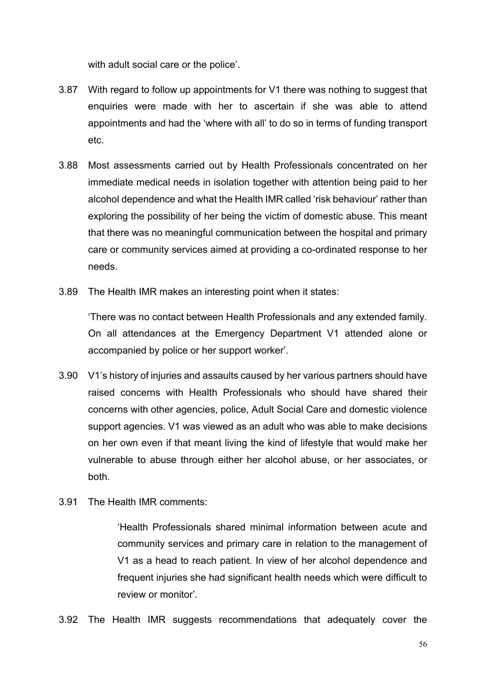with adult social care or the police'.

- 3.87 With regard to follow up appointments for V1 there was nothing to suggest that enquiries were made with her to ascertain if she was able to attend appointments and had the 'where with all' to do so in terms of funding transport etc.
- 3.88 Most assessments carried out by Health Professionals concentrated on her immediate medical needs in isolation together with attention being paid to her alcohol dependence and what the Health IMR called 'risk behaviour' rather than exploring the possibility of her being the victim of domestic abuse. This meant that there was no meaningful communication between the hospital and primary care or community services aimed at providing a co-ordinated response to her needs.
- 3.89 The Health IMR makes an interesting point when it states:

'There was no contact between Health Professionals and any extended family. On all attendances at the Emergency Department V1 attended alone or accompanied by police or her support worker'.

- 3.90 V1's history of injuries and assaults caused by her various partners should have raised concerns with Health Professionals who should have shared their concerns with other agencies, police, Adult Social Care and domestic violence support agencies. V1 was viewed as an adult who was able to make decisions on her own even if that meant living the kind of lifestyle that would make her vulnerable to abuse through either her alcohol abuse, or her associates, or both.
- 3.91 The Health IMR comments:

'Health Professionals shared minimal information between acute and community services and primary care in relation to the management of V1 as a head to reach patient. In view of her alcohol dependence and frequent injuries she had significant health needs which were difficult to review or monitor'.

3.92 The Health IMR suggests recommendations that adequately cover the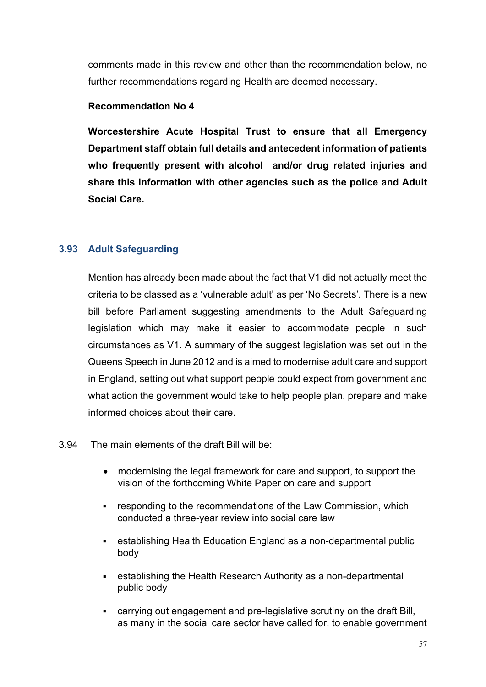comments made in this review and other than the recommendation below, no further recommendations regarding Health are deemed necessary.

## **Recommendation No 4**

**Worcestershire Acute Hospital Trust to ensure that all Emergency Department staff obtain full details and antecedent information of patients who frequently present with alcohol and/or drug related injuries and share this information with other agencies such as the police and Adult Social Care.**

# **3.93 Adult Safeguarding**

Mention has already been made about the fact that V1 did not actually meet the criteria to be classed as a 'vulnerable adult' as per 'No Secrets'. There is a new bill before Parliament suggesting amendments to the Adult Safeguarding legislation which may make it easier to accommodate people in such circumstances as V1. A summary of the suggest legislation was set out in the Queens Speech in June 2012 and is aimed to modernise adult care and support in England, setting out what support people could expect from government and what action the government would take to help people plan, prepare and make informed choices about their care.

## 3.94 The main elements of the draft Bill will be:

- modernising the legal framework for care and support, to support the vision of the forthcoming White Paper on care and support
- **EXECTE FEET** responding to the [recommendations of the Law Commission,](http://lawcommission.justice.gov.uk/publications/1460.htm) which conducted a three-year review into social care law
- establishing Health Education England as a non-departmental public body
- establishing the Health Research Authority as a non-departmental public body
- carrying out engagement and pre-legislative scrutiny on the draft Bill, as many in the social care sector have called for, to enable government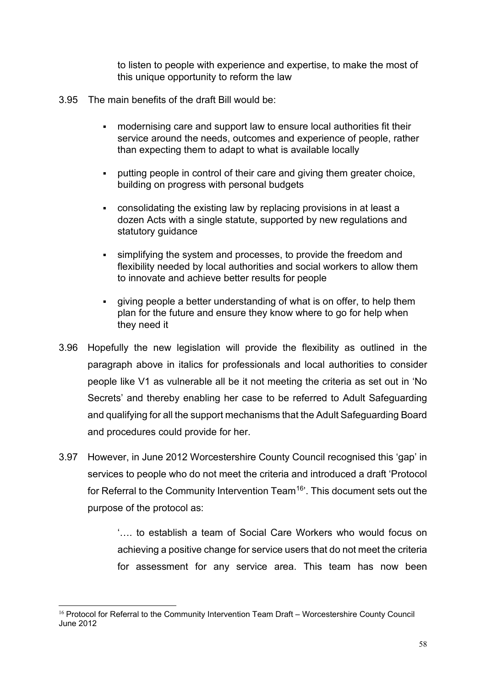to listen to people with experience and expertise, to make the most of this unique opportunity to reform the law

- 3.95 The main benefits of the draft Bill would be:
	- modernising care and support law to ensure local authorities fit their service around the needs, outcomes and experience of people, rather than expecting them to adapt to what is available locally
	- putting people in control of their care and giving them greater choice, building on progress with personal budgets
	- consolidating the existing law by replacing provisions in at least a dozen Acts with a single statute, supported by new regulations and statutory guidance
	- simplifying the system and processes, to provide the freedom and flexibility needed by local authorities and social workers to allow them to innovate and achieve better results for people
	- giving people a better understanding of what is on offer, to help them plan for the future and ensure they know where to go for help when they need it
- 3.96 Hopefully the new legislation will provide the flexibility as outlined in the paragraph above in italics for professionals and local authorities to consider people like V1 as vulnerable all be it not meeting the criteria as set out in 'No Secrets' and thereby enabling her case to be referred to Adult Safeguarding and qualifying for all the support mechanisms that the Adult Safeguarding Board and procedures could provide for her.
- 3.97 However, in June 2012 Worcestershire County Council recognised this 'gap' in services to people who do not meet the criteria and introduced a draft 'Protocol for Referral to the Community Intervention Team<sup>16</sup>'. This document sets out the purpose of the protocol as:

'…. to establish a team of Social Care Workers who would focus on achieving a positive change for service users that do not meet the criteria for assessment for any service area. This team has now been

<span id="page-57-0"></span><sup>&</sup>lt;sup>16</sup> Protocol for Referral to the Community Intervention Team Draft – Worcestershire County Council June 2012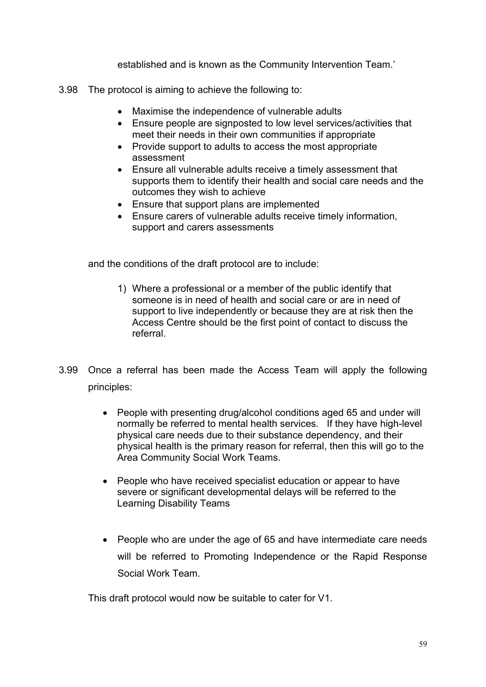established and is known as the Community Intervention Team.'

- 3.98 The protocol is aiming to achieve the following to:
	- Maximise the independence of vulnerable adults
	- Ensure people are signposted to low level services/activities that meet their needs in their own communities if appropriate
	- Provide support to adults to access the most appropriate assessment
	- Ensure all vulnerable adults receive a timely assessment that supports them to identify their health and social care needs and the outcomes they wish to achieve
	- Ensure that support plans are implemented
	- Ensure carers of vulnerable adults receive timely information, support and carers assessments

and the conditions of the draft protocol are to include:

- 1) Where a professional or a member of the public identify that someone is in need of health and social care or are in need of support to live independently or because they are at risk then the Access Centre should be the first point of contact to discuss the referral.
- 3.99 Once a referral has been made the Access Team will apply the following principles:
	- People with presenting drug/alcohol conditions aged 65 and under will normally be referred to mental health services. If they have high-level physical care needs due to their substance dependency, and their physical health is the primary reason for referral, then this will go to the Area Community Social Work Teams.
	- People who have received specialist education or appear to have severe or significant developmental delays will be referred to the Learning Disability Teams
	- People who are under the age of 65 and have intermediate care needs will be referred to Promoting Independence or the Rapid Response Social Work Team.

This draft protocol would now be suitable to cater for V1.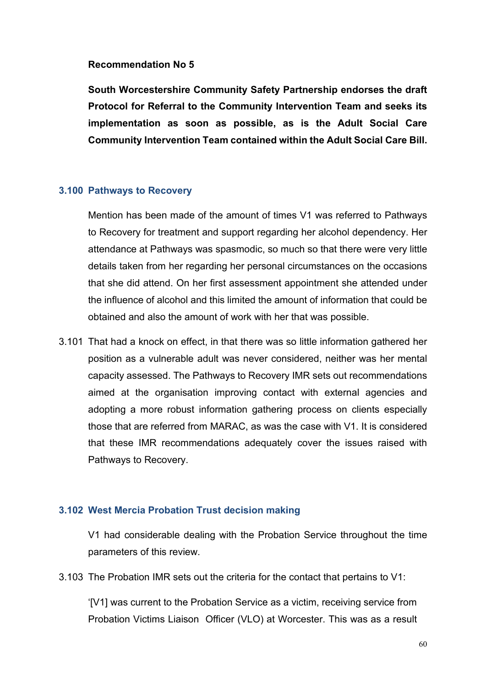#### **Recommendation No 5**

**South Worcestershire Community Safety Partnership endorses the draft Protocol for Referral to the Community Intervention Team and seeks its implementation as soon as possible, as is the Adult Social Care Community Intervention Team contained within the Adult Social Care Bill.**

#### **3.100 Pathways to Recovery**

Mention has been made of the amount of times V1 was referred to Pathways to Recovery for treatment and support regarding her alcohol dependency. Her attendance at Pathways was spasmodic, so much so that there were very little details taken from her regarding her personal circumstances on the occasions that she did attend. On her first assessment appointment she attended under the influence of alcohol and this limited the amount of information that could be obtained and also the amount of work with her that was possible.

3.101 That had a knock on effect, in that there was so little information gathered her position as a vulnerable adult was never considered, neither was her mental capacity assessed. The Pathways to Recovery IMR sets out recommendations aimed at the organisation improving contact with external agencies and adopting a more robust information gathering process on clients especially those that are referred from MARAC, as was the case with V1. It is considered that these IMR recommendations adequately cover the issues raised with Pathways to Recovery.

## **3.102 West Mercia Probation Trust decision making**

V1 had considerable dealing with the Probation Service throughout the time parameters of this review.

3.103 The Probation IMR sets out the criteria for the contact that pertains to V1:

'[V1] was current to the Probation Service as a victim, receiving service from Probation Victims Liaison Officer (VLO) at Worcester. This was as a result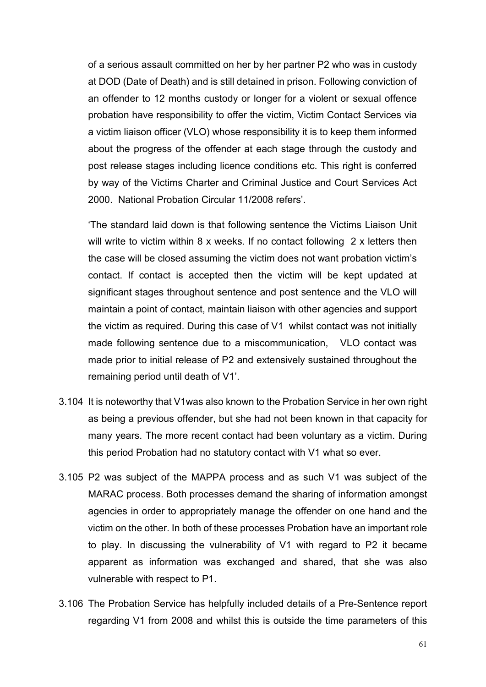of a serious assault committed on her by her partner P2 who was in custody at DOD (Date of Death) and is still detained in prison. Following conviction of an offender to 12 months custody or longer for a violent or sexual offence probation have responsibility to offer the victim, Victim Contact Services via a victim liaison officer (VLO) whose responsibility it is to keep them informed about the progress of the offender at each stage through the custody and post release stages including licence conditions etc. This right is conferred by way of the Victims Charter and Criminal Justice and Court Services Act 2000. National Probation Circular 11/2008 refers'.

'The standard laid down is that following sentence the Victims Liaison Unit will write to victim within 8 x weeks. If no contact following 2 x letters then the case will be closed assuming the victim does not want probation victim's contact. If contact is accepted then the victim will be kept updated at significant stages throughout sentence and post sentence and the VLO will maintain a point of contact, maintain liaison with other agencies and support the victim as required. During this case of V1 whilst contact was not initially made following sentence due to a miscommunication, VLO contact was made prior to initial release of P2 and extensively sustained throughout the remaining period until death of V1'.

- 3.104 It is noteworthy that V1was also known to the Probation Service in her own right as being a previous offender, but she had not been known in that capacity for many years. The more recent contact had been voluntary as a victim. During this period Probation had no statutory contact with V1 what so ever.
- 3.105 P2 was subject of the MAPPA process and as such V1 was subject of the MARAC process. Both processes demand the sharing of information amongst agencies in order to appropriately manage the offender on one hand and the victim on the other. In both of these processes Probation have an important role to play. In discussing the vulnerability of V1 with regard to P2 it became apparent as information was exchanged and shared, that she was also vulnerable with respect to P1.
- 3.106 The Probation Service has helpfully included details of a Pre-Sentence report regarding V1 from 2008 and whilst this is outside the time parameters of this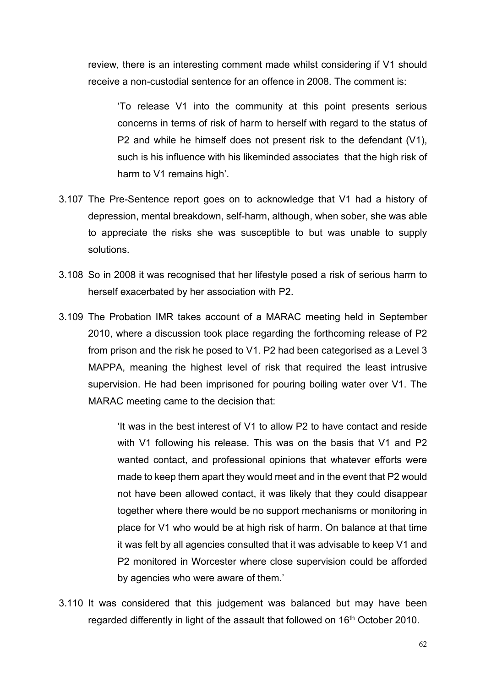review, there is an interesting comment made whilst considering if V1 should receive a non-custodial sentence for an offence in 2008. The comment is:

'To release V1 into the community at this point presents serious concerns in terms of risk of harm to herself with regard to the status of P2 and while he himself does not present risk to the defendant (V1), such is his influence with his likeminded associates that the high risk of harm to V1 remains high'.

- 3.107 The Pre-Sentence report goes on to acknowledge that V1 had a history of depression, mental breakdown, self-harm, although, when sober, she was able to appreciate the risks she was susceptible to but was unable to supply solutions.
- 3.108 So in 2008 it was recognised that her lifestyle posed a risk of serious harm to herself exacerbated by her association with P2.
- 3.109 The Probation IMR takes account of a MARAC meeting held in September 2010, where a discussion took place regarding the forthcoming release of P2 from prison and the risk he posed to V1. P2 had been categorised as a Level 3 MAPPA, meaning the highest level of risk that required the least intrusive supervision. He had been imprisoned for pouring boiling water over V1. The MARAC meeting came to the decision that:

'It was in the best interest of V1 to allow P2 to have contact and reside with V1 following his release. This was on the basis that V1 and P2 wanted contact, and professional opinions that whatever efforts were made to keep them apart they would meet and in the event that P2 would not have been allowed contact, it was likely that they could disappear together where there would be no support mechanisms or monitoring in place for V1 who would be at high risk of harm. On balance at that time it was felt by all agencies consulted that it was advisable to keep V1 and P2 monitored in Worcester where close supervision could be afforded by agencies who were aware of them.'

3.110 It was considered that this judgement was balanced but may have been regarded differently in light of the assault that followed on 16<sup>th</sup> October 2010.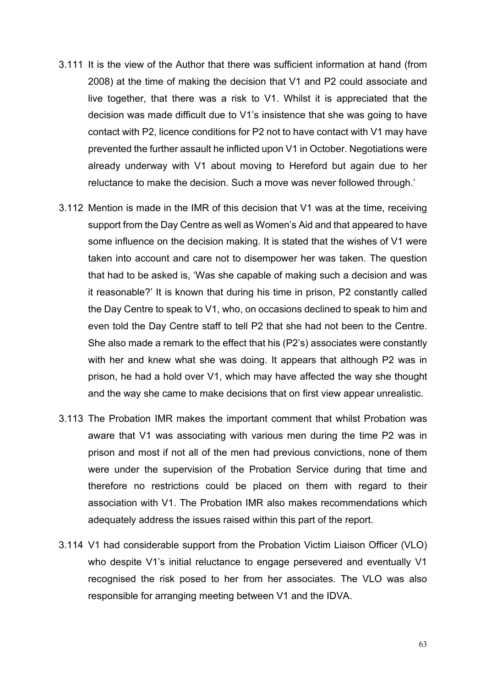- 3.111 It is the view of the Author that there was sufficient information at hand (from 2008) at the time of making the decision that V1 and P2 could associate and live together, that there was a risk to V1. Whilst it is appreciated that the decision was made difficult due to V1's insistence that she was going to have contact with P2, licence conditions for P2 not to have contact with V1 may have prevented the further assault he inflicted upon V1 in October. Negotiations were already underway with V1 about moving to Hereford but again due to her reluctance to make the decision. Such a move was never followed through.'
- 3.112 Mention is made in the IMR of this decision that V1 was at the time, receiving support from the Day Centre as well as Women's Aid and that appeared to have some influence on the decision making. It is stated that the wishes of V1 were taken into account and care not to disempower her was taken. The question that had to be asked is, 'Was she capable of making such a decision and was it reasonable?' It is known that during his time in prison, P2 constantly called the Day Centre to speak to V1, who, on occasions declined to speak to him and even told the Day Centre staff to tell P2 that she had not been to the Centre. She also made a remark to the effect that his (P2's) associates were constantly with her and knew what she was doing. It appears that although P2 was in prison, he had a hold over V1, which may have affected the way she thought and the way she came to make decisions that on first view appear unrealistic.
- 3.113 The Probation IMR makes the important comment that whilst Probation was aware that V1 was associating with various men during the time P2 was in prison and most if not all of the men had previous convictions, none of them were under the supervision of the Probation Service during that time and therefore no restrictions could be placed on them with regard to their association with V1. The Probation IMR also makes recommendations which adequately address the issues raised within this part of the report.
- 3.114 V1 had considerable support from the Probation Victim Liaison Officer (VLO) who despite V1's initial reluctance to engage persevered and eventually V1 recognised the risk posed to her from her associates. The VLO was also responsible for arranging meeting between V1 and the IDVA.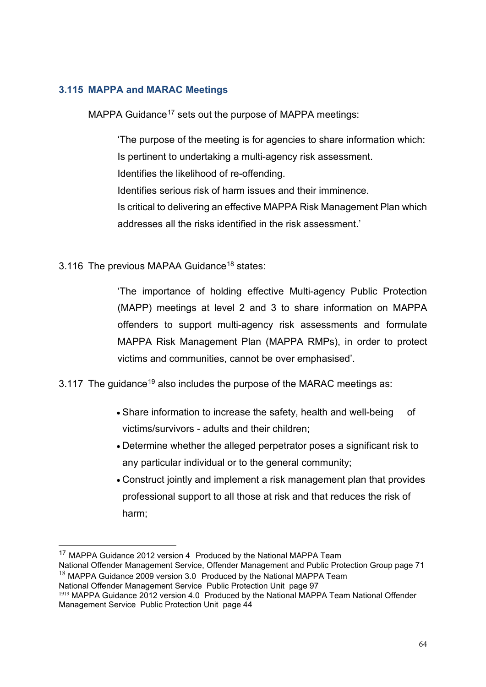## **3.115 MAPPA and MARAC Meetings**

MAPPA Guidance<sup>[17](#page-63-0)</sup> sets out the purpose of MAPPA meetings:

'The purpose of the meeting is for agencies to share information which: Is pertinent to undertaking a multi-agency risk assessment. Identifies the likelihood of re-offending. Identifies serious risk of harm issues and their imminence. Is critical to delivering an effective MAPPA Risk Management Plan which addresses all the risks identified in the risk assessment.'

3.116 The previous MAPAA Guidance<sup>[18](#page-63-1)</sup> states:

'The importance of holding effective Multi-agency Public Protection (MAPP) meetings at level 2 and 3 to share information on MAPPA offenders to support multi-agency risk assessments and formulate MAPPA Risk Management Plan (MAPPA RMPs), in order to protect victims and communities, cannot be over emphasised'.

3.117 The quidance<sup>[19](#page-63-2)</sup> also includes the purpose of the MARAC meetings as:

- Share information to increase the safety, health and well-being of victims/survivors - adults and their children;
- Determine whether the alleged perpetrator poses a significant risk to any particular individual or to the general community;
- Construct jointly and implement a risk management plan that provides professional support to all those at risk and that reduces the risk of harm;

```
National Offender Management Service Public Protection Unit page 97
```
<span id="page-63-0"></span><sup>&</sup>lt;sup>17</sup> MAPPA Guidance 2012 version 4 Produced by the National MAPPA Team National Offender Management Service, Offender Management and Public Protection Group page 71  $18$  MAPPA Guidance 2009 version 3.0 Produced by the National MAPPA Team

<span id="page-63-2"></span><sup>&</sup>lt;sup>1919</sup> MAPPA Guidance 2012 version 4.0 Produced by the National MAPPA Team National Offender Management Service Public Protection Unit page 44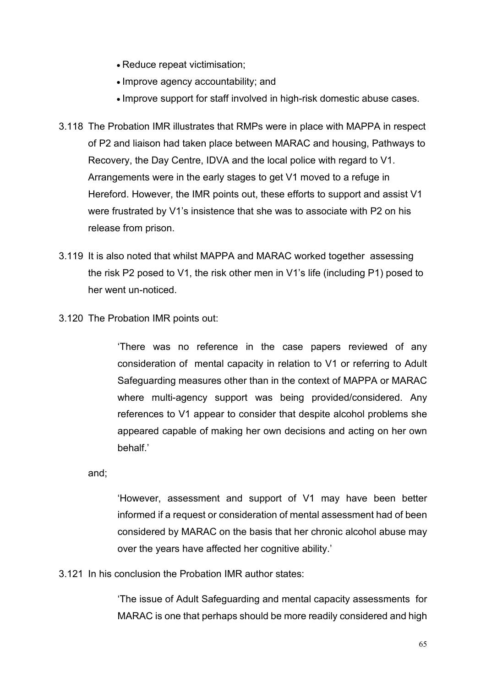- Reduce repeat victimisation;
- Improve agency accountability; and
- Improve support for staff involved in high-risk domestic abuse cases.
- 3.118 The Probation IMR illustrates that RMPs were in place with MAPPA in respect of P2 and liaison had taken place between MARAC and housing, Pathways to Recovery, the Day Centre, IDVA and the local police with regard to V1. Arrangements were in the early stages to get V1 moved to a refuge in Hereford. However, the IMR points out, these efforts to support and assist V1 were frustrated by V1's insistence that she was to associate with P2 on his release from prison.
- 3.119 It is also noted that whilst MAPPA and MARAC worked together assessing the risk P2 posed to V1, the risk other men in V1's life (including P1) posed to her went un-noticed.
- 3.120 The Probation IMR points out:

'There was no reference in the case papers reviewed of any consideration of mental capacity in relation to V1 or referring to Adult Safeguarding measures other than in the context of MAPPA or MARAC where multi-agency support was being provided/considered. Any references to V1 appear to consider that despite alcohol problems she appeared capable of making her own decisions and acting on her own behalf.'

and;

'However, assessment and support of V1 may have been better informed if a request or consideration of mental assessment had of been considered by MARAC on the basis that her chronic alcohol abuse may over the years have affected her cognitive ability.'

3.121 In his conclusion the Probation IMR author states:

'The issue of Adult Safeguarding and mental capacity assessments for MARAC is one that perhaps should be more readily considered and high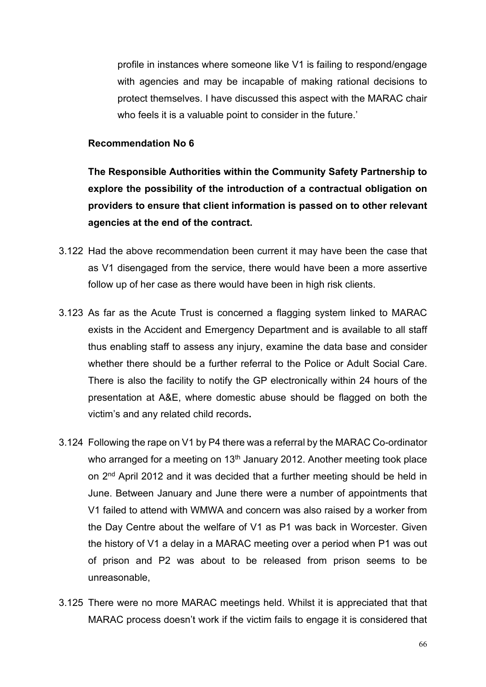profile in instances where someone like V1 is failing to respond/engage with agencies and may be incapable of making rational decisions to protect themselves. I have discussed this aspect with the MARAC chair who feels it is a valuable point to consider in the future.'

#### **Recommendation No 6**

**The Responsible Authorities within the Community Safety Partnership to explore the possibility of the introduction of a contractual obligation on providers to ensure that client information is passed on to other relevant agencies at the end of the contract.**

- 3.122 Had the above recommendation been current it may have been the case that as V1 disengaged from the service, there would have been a more assertive follow up of her case as there would have been in high risk clients.
- 3.123 As far as the Acute Trust is concerned a flagging system linked to MARAC exists in the Accident and Emergency Department and is available to all staff thus enabling staff to assess any injury, examine the data base and consider whether there should be a further referral to the Police or Adult Social Care. There is also the facility to notify the GP electronically within 24 hours of the presentation at A&E, where domestic abuse should be flagged on both the victim's and any related child records**.**
- 3.124 Following the rape on V1 by P4 there was a referral by the MARAC Co-ordinator who arranged for a meeting on  $13<sup>th</sup>$  January 2012. Another meeting took place on 2nd April 2012 and it was decided that a further meeting should be held in June. Between January and June there were a number of appointments that V1 failed to attend with WMWA and concern was also raised by a worker from the Day Centre about the welfare of V1 as P1 was back in Worcester. Given the history of V1 a delay in a MARAC meeting over a period when P1 was out of prison and P2 was about to be released from prison seems to be unreasonable,
- 3.125 There were no more MARAC meetings held. Whilst it is appreciated that that MARAC process doesn't work if the victim fails to engage it is considered that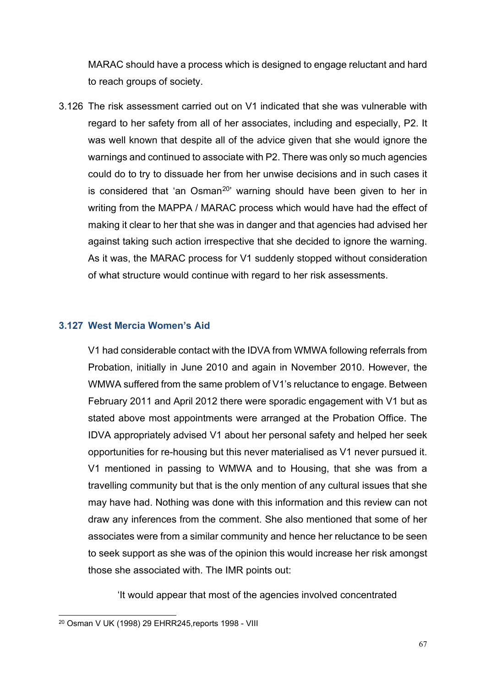MARAC should have a process which is designed to engage reluctant and hard to reach groups of society.

3.126 The risk assessment carried out on V1 indicated that she was vulnerable with regard to her safety from all of her associates, including and especially, P2. It was well known that despite all of the advice given that she would ignore the warnings and continued to associate with P2. There was only so much agencies could do to try to dissuade her from her unwise decisions and in such cases it is considered that 'an Osman<sup>[20](#page-66-0)</sup>' warning should have been given to her in writing from the MAPPA / MARAC process which would have had the effect of making it clear to her that she was in danger and that agencies had advised her against taking such action irrespective that she decided to ignore the warning. As it was, the MARAC process for V1 suddenly stopped without consideration of what structure would continue with regard to her risk assessments.

#### **3.127 West Mercia Women's Aid**

V1 had considerable contact with the IDVA from WMWA following referrals from Probation, initially in June 2010 and again in November 2010. However, the WMWA suffered from the same problem of V1's reluctance to engage. Between February 2011 and April 2012 there were sporadic engagement with V1 but as stated above most appointments were arranged at the Probation Office. The IDVA appropriately advised V1 about her personal safety and helped her seek opportunities for re-housing but this never materialised as V1 never pursued it. V1 mentioned in passing to WMWA and to Housing, that she was from a travelling community but that is the only mention of any cultural issues that she may have had. Nothing was done with this information and this review can not draw any inferences from the comment. She also mentioned that some of her associates were from a similar community and hence her reluctance to be seen to seek support as she was of the opinion this would increase her risk amongst those she associated with. The IMR points out:

'It would appear that most of the agencies involved concentrated

<span id="page-66-0"></span><sup>20</sup> Osman V UK (1998) 29 EHRR245,reports 1998 - VIII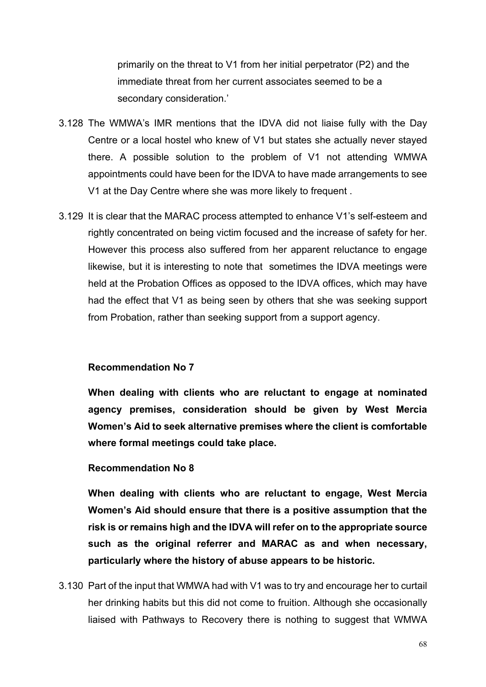primarily on the threat to V1 from her initial perpetrator (P2) and the immediate threat from her current associates seemed to be a secondary consideration.'

- 3.128 The WMWA's IMR mentions that the IDVA did not liaise fully with the Day Centre or a local hostel who knew of V1 but states she actually never stayed there. A possible solution to the problem of V1 not attending WMWA appointments could have been for the IDVA to have made arrangements to see V1 at the Day Centre where she was more likely to frequent .
- 3.129 It is clear that the MARAC process attempted to enhance V1's self-esteem and rightly concentrated on being victim focused and the increase of safety for her. However this process also suffered from her apparent reluctance to engage likewise, but it is interesting to note that sometimes the IDVA meetings were held at the Probation Offices as opposed to the IDVA offices, which may have had the effect that V1 as being seen by others that she was seeking support from Probation, rather than seeking support from a support agency.

#### **Recommendation No 7**

**When dealing with clients who are reluctant to engage at nominated agency premises, consideration should be given by West Mercia Women's Aid to seek alternative premises where the client is comfortable where formal meetings could take place.**

#### **Recommendation No 8**

**When dealing with clients who are reluctant to engage, West Mercia Women's Aid should ensure that there is a positive assumption that the risk is or remains high and the IDVA will refer on to the appropriate source such as the original referrer and MARAC as and when necessary, particularly where the history of abuse appears to be historic.**

3.130 Part of the input that WMWA had with V1 was to try and encourage her to curtail her drinking habits but this did not come to fruition. Although she occasionally liaised with Pathways to Recovery there is nothing to suggest that WMWA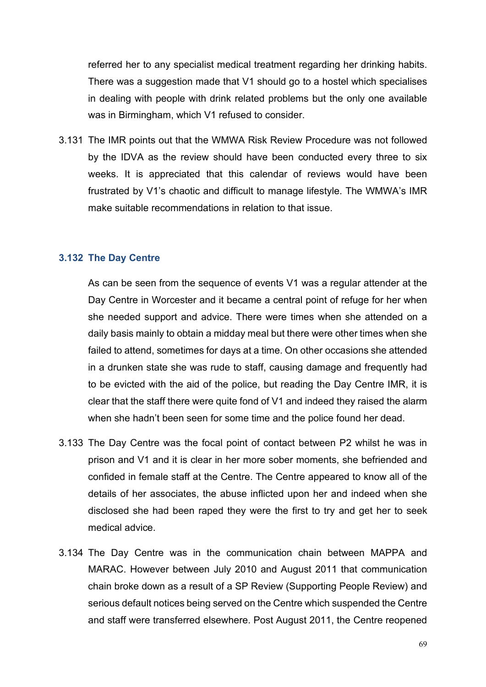referred her to any specialist medical treatment regarding her drinking habits. There was a suggestion made that V1 should go to a hostel which specialises in dealing with people with drink related problems but the only one available was in Birmingham, which V1 refused to consider.

3.131 The IMR points out that the WMWA Risk Review Procedure was not followed by the IDVA as the review should have been conducted every three to six weeks. It is appreciated that this calendar of reviews would have been frustrated by V1's chaotic and difficult to manage lifestyle. The WMWA's IMR make suitable recommendations in relation to that issue.

#### **3.132 The Day Centre**

As can be seen from the sequence of events V1 was a regular attender at the Day Centre in Worcester and it became a central point of refuge for her when she needed support and advice. There were times when she attended on a daily basis mainly to obtain a midday meal but there were other times when she failed to attend, sometimes for days at a time. On other occasions she attended in a drunken state she was rude to staff, causing damage and frequently had to be evicted with the aid of the police, but reading the Day Centre IMR, it is clear that the staff there were quite fond of V1 and indeed they raised the alarm when she hadn't been seen for some time and the police found her dead.

- 3.133 The Day Centre was the focal point of contact between P2 whilst he was in prison and V1 and it is clear in her more sober moments, she befriended and confided in female staff at the Centre. The Centre appeared to know all of the details of her associates, the abuse inflicted upon her and indeed when she disclosed she had been raped they were the first to try and get her to seek medical advice.
- 3.134 The Day Centre was in the communication chain between MAPPA and MARAC. However between July 2010 and August 2011 that communication chain broke down as a result of a SP Review (Supporting People Review) and serious default notices being served on the Centre which suspended the Centre and staff were transferred elsewhere. Post August 2011, the Centre reopened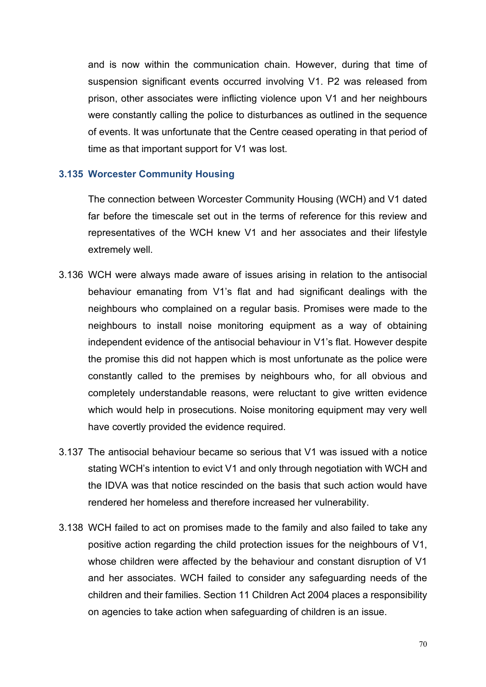and is now within the communication chain. However, during that time of suspension significant events occurred involving V1. P2 was released from prison, other associates were inflicting violence upon V1 and her neighbours were constantly calling the police to disturbances as outlined in the sequence of events. It was unfortunate that the Centre ceased operating in that period of time as that important support for V1 was lost.

#### **3.135 Worcester Community Housing**

The connection between Worcester Community Housing (WCH) and V1 dated far before the timescale set out in the terms of reference for this review and representatives of the WCH knew V1 and her associates and their lifestyle extremely well.

- 3.136 WCH were always made aware of issues arising in relation to the antisocial behaviour emanating from V1's flat and had significant dealings with the neighbours who complained on a regular basis. Promises were made to the neighbours to install noise monitoring equipment as a way of obtaining independent evidence of the antisocial behaviour in V1's flat. However despite the promise this did not happen which is most unfortunate as the police were constantly called to the premises by neighbours who, for all obvious and completely understandable reasons, were reluctant to give written evidence which would help in prosecutions. Noise monitoring equipment may very well have covertly provided the evidence required.
- 3.137 The antisocial behaviour became so serious that V1 was issued with a notice stating WCH's intention to evict V1 and only through negotiation with WCH and the IDVA was that notice rescinded on the basis that such action would have rendered her homeless and therefore increased her vulnerability.
- 3.138 WCH failed to act on promises made to the family and also failed to take any positive action regarding the child protection issues for the neighbours of V1, whose children were affected by the behaviour and constant disruption of V1 and her associates. WCH failed to consider any safeguarding needs of the children and their families. Section 11 Children Act 2004 places a responsibility on agencies to take action when safeguarding of children is an issue.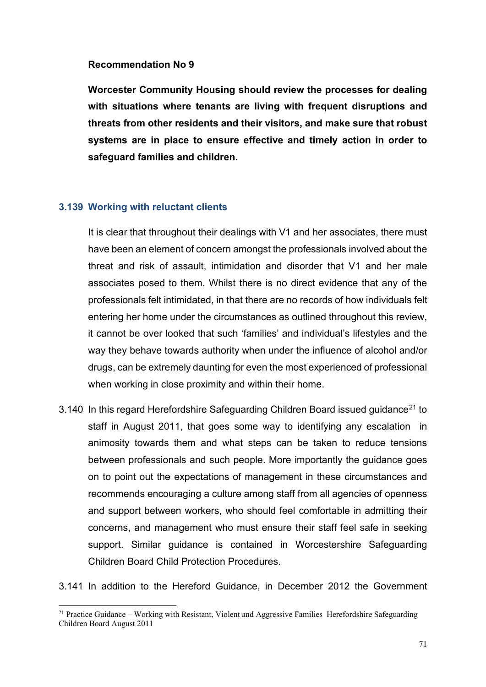#### **Recommendation No 9**

**Worcester Community Housing should review the processes for dealing with situations where tenants are living with frequent disruptions and threats from other residents and their visitors, and make sure that robust systems are in place to ensure effective and timely action in order to safeguard families and children.**

## **3.139 Working with reluctant clients**

It is clear that throughout their dealings with V1 and her associates, there must have been an element of concern amongst the professionals involved about the threat and risk of assault, intimidation and disorder that V1 and her male associates posed to them. Whilst there is no direct evidence that any of the professionals felt intimidated, in that there are no records of how individuals felt entering her home under the circumstances as outlined throughout this review, it cannot be over looked that such 'families' and individual's lifestyles and the way they behave towards authority when under the influence of alcohol and/or drugs, can be extremely daunting for even the most experienced of professional when working in close proximity and within their home.

3.140 In this regard Herefordshire Safeguarding Children Board issued guidance<sup>[21](#page-70-0)</sup> to staff in August 2011, that goes some way to identifying any escalation in animosity towards them and what steps can be taken to reduce tensions between professionals and such people. More importantly the guidance goes on to point out the expectations of management in these circumstances and recommends encouraging a culture among staff from all agencies of openness and support between workers, who should feel comfortable in admitting their concerns, and management who must ensure their staff feel safe in seeking support. Similar guidance is contained in Worcestershire Safeguarding Children Board Child Protection Procedures.

3.141 In addition to the Hereford Guidance, in December 2012 the Government

<span id="page-70-0"></span> $21$  Practice Guidance – Working with Resistant, Violent and Aggressive Families Herefordshire Safeguarding Children Board August 2011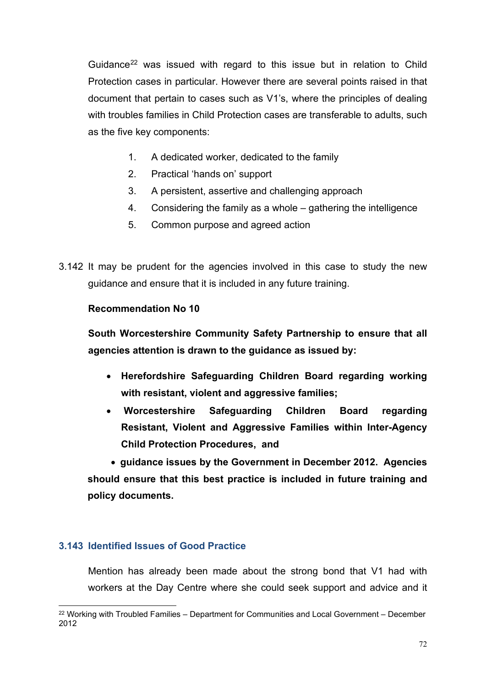Guidance<sup>[22](#page-71-0)</sup> was issued with regard to this issue but in relation to Child Protection cases in particular. However there are several points raised in that document that pertain to cases such as V1's, where the principles of dealing with troubles families in Child Protection cases are transferable to adults, such as the five key components:

- 1. A dedicated worker, dedicated to the family
- 2. Practical 'hands on' support
- 3. A persistent, assertive and challenging approach
- 4. Considering the family as a whole gathering the intelligence
- 5. Common purpose and agreed action
- 3.142 It may be prudent for the agencies involved in this case to study the new guidance and ensure that it is included in any future training.

# **Recommendation No 10**

**South Worcestershire Community Safety Partnership to ensure that all agencies attention is drawn to the guidance as issued by:**

- **Herefordshire Safeguarding Children Board regarding working with resistant, violent and aggressive families;**
- **Worcestershire Safeguarding Children Board regarding Resistant, Violent and Aggressive Families within Inter-Agency Child Protection Procedures, and**

• **guidance issues by the Government in December 2012. Agencies should ensure that this best practice is included in future training and policy documents.**

# **3.143 Identified Issues of Good Practice**

Mention has already been made about the strong bond that V1 had with workers at the Day Centre where she could seek support and advice and it

<span id="page-71-0"></span> $22$  Working with Troubled Families – Department for Communities and Local Government – December 2012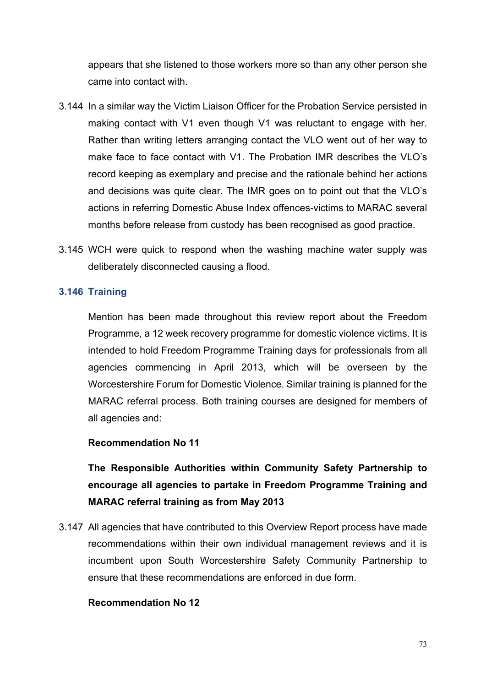appears that she listened to those workers more so than any other person she came into contact with.

- 3.144 In a similar way the Victim Liaison Officer for the Probation Service persisted in making contact with V1 even though V1 was reluctant to engage with her. Rather than writing letters arranging contact the VLO went out of her way to make face to face contact with V1. The Probation IMR describes the VLO's record keeping as exemplary and precise and the rationale behind her actions and decisions was quite clear. The IMR goes on to point out that the VLO's actions in referring Domestic Abuse Index offences-victims to MARAC several months before release from custody has been recognised as good practice.
- 3.145 WCH were quick to respond when the washing machine water supply was deliberately disconnected causing a flood.

### **3.146 Training**

Mention has been made throughout this review report about the Freedom Programme, a 12 week recovery programme for domestic violence victims. It is intended to hold Freedom Programme Training days for professionals from all agencies commencing in April 2013, which will be overseen by the Worcestershire Forum for Domestic Violence. Similar training is planned for the MARAC referral process. Both training courses are designed for members of all agencies and:

#### **Recommendation No 11**

**The Responsible Authorities within Community Safety Partnership to encourage all agencies to partake in Freedom Programme Training and MARAC referral training as from May 2013**

3.147 All agencies that have contributed to this Overview Report process have made recommendations within their own individual management reviews and it is incumbent upon South Worcestershire Safety Community Partnership to ensure that these recommendations are enforced in due form.

#### **Recommendation No 12**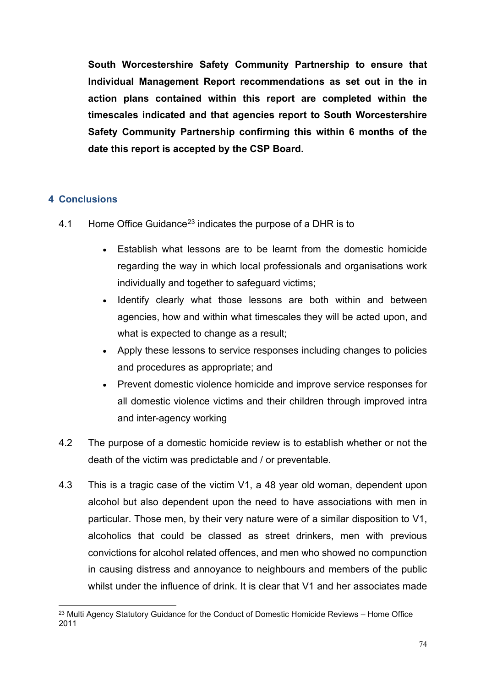**South Worcestershire Safety Community Partnership to ensure that Individual Management Report recommendations as set out in the in action plans contained within this report are completed within the timescales indicated and that agencies report to South Worcestershire Safety Community Partnership confirming this within 6 months of the date this report is accepted by the CSP Board.**

### **4 Conclusions**

- 4.1 Home Office Guidance<sup>[23](#page-73-0)</sup> indicates the purpose of a DHR is to
	- Establish what lessons are to be learnt from the domestic homicide regarding the way in which local professionals and organisations work individually and together to safeguard victims;
	- Identify clearly what those lessons are both within and between agencies, how and within what timescales they will be acted upon, and what is expected to change as a result;
	- Apply these lessons to service responses including changes to policies and procedures as appropriate; and
	- Prevent domestic violence homicide and improve service responses for all domestic violence victims and their children through improved intra and inter-agency working
- 4.2 The purpose of a domestic homicide review is to establish whether or not the death of the victim was predictable and / or preventable.
- 4.3 This is a tragic case of the victim V1, a 48 year old woman, dependent upon alcohol but also dependent upon the need to have associations with men in particular. Those men, by their very nature were of a similar disposition to V1, alcoholics that could be classed as street drinkers, men with previous convictions for alcohol related offences, and men who showed no compunction in causing distress and annoyance to neighbours and members of the public whilst under the influence of drink. It is clear that V1 and her associates made

<span id="page-73-0"></span> $23$  Multi Agency Statutory Guidance for the Conduct of Domestic Homicide Reviews – Home Office 2011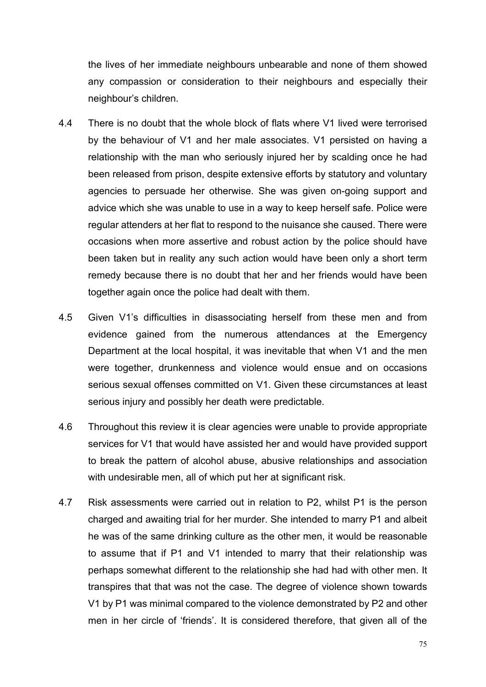the lives of her immediate neighbours unbearable and none of them showed any compassion or consideration to their neighbours and especially their neighbour's children.

- 4.4 There is no doubt that the whole block of flats where V1 lived were terrorised by the behaviour of V1 and her male associates. V1 persisted on having a relationship with the man who seriously injured her by scalding once he had been released from prison, despite extensive efforts by statutory and voluntary agencies to persuade her otherwise. She was given on-going support and advice which she was unable to use in a way to keep herself safe. Police were regular attenders at her flat to respond to the nuisance she caused. There were occasions when more assertive and robust action by the police should have been taken but in reality any such action would have been only a short term remedy because there is no doubt that her and her friends would have been together again once the police had dealt with them.
- 4.5 Given V1's difficulties in disassociating herself from these men and from evidence gained from the numerous attendances at the Emergency Department at the local hospital, it was inevitable that when V1 and the men were together, drunkenness and violence would ensue and on occasions serious sexual offenses committed on V1. Given these circumstances at least serious injury and possibly her death were predictable.
- 4.6 Throughout this review it is clear agencies were unable to provide appropriate services for V1 that would have assisted her and would have provided support to break the pattern of alcohol abuse, abusive relationships and association with undesirable men, all of which put her at significant risk.
- 4.7 Risk assessments were carried out in relation to P2, whilst P1 is the person charged and awaiting trial for her murder. She intended to marry P1 and albeit he was of the same drinking culture as the other men, it would be reasonable to assume that if P1 and V1 intended to marry that their relationship was perhaps somewhat different to the relationship she had had with other men. It transpires that that was not the case. The degree of violence shown towards V1 by P1 was minimal compared to the violence demonstrated by P2 and other men in her circle of 'friends'. It is considered therefore, that given all of the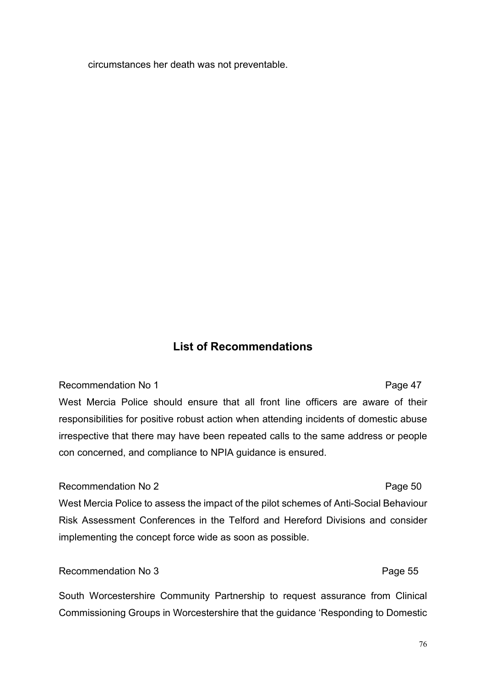circumstances her death was not preventable.

## **List of Recommendations**

#### Recommendation No 1 and 1 and 2 and 2 and 2 and 2 and 2 and 2 and 2 and 2 and 2 and 2 and 2 and 2 and 2 and 2 and 2 and 2 and 2 and 2 and 2 and 2 and 2 and 2 and 2 and 2 and 2 and 2 and 2 and 2 and 2 and 2 and 2 and 2 and

# West Mercia Police should ensure that all front line officers are aware of their responsibilities for positive robust action when attending incidents of domestic abuse irrespective that there may have been repeated calls to the same address or people con concerned, and compliance to NPIA guidance is ensured.

#### Recommendation No 2 and 2 Page 50

# West Mercia Police to assess the impact of the pilot schemes of Anti-Social Behaviour Risk Assessment Conferences in the Telford and Hereford Divisions and consider implementing the concept force wide as soon as possible.

#### Recommendation No 3 Page 55

South Worcestershire Community Partnership to request assurance from Clinical Commissioning Groups in Worcestershire that the guidance 'Responding to Domestic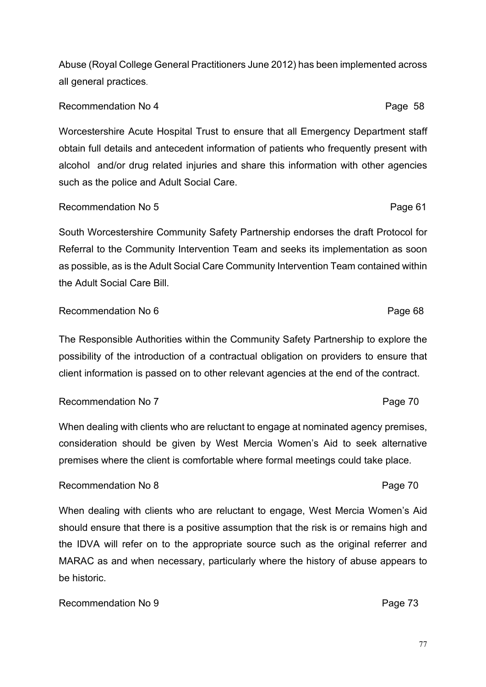Abuse (Royal College General Practitioners June 2012) has been implemented across all general practices.

### Recommendation No 4 Page 58

Worcestershire Acute Hospital Trust to ensure that all Emergency Department staff obtain full details and antecedent information of patients who frequently present with alcohol and/or drug related injuries and share this information with other agencies such as the police and Adult Social Care.

### Recommendation No 5 Page 61

South Worcestershire Community Safety Partnership endorses the draft Protocol for Referral to the Community Intervention Team and seeks its implementation as soon as possible, as is the Adult Social Care Community Intervention Team contained within the Adult Social Care Bill.

#### Recommendation No 6 **Page 10** Page 68

The Responsible Authorities within the Community Safety Partnership to explore the possibility of the introduction of a contractual obligation on providers to ensure that client information is passed on to other relevant agencies at the end of the contract.

#### Recommendation No 7 Page 70

When dealing with clients who are reluctant to engage at nominated agency premises, consideration should be given by West Mercia Women's Aid to seek alternative premises where the client is comfortable where formal meetings could take place.

#### Recommendation No 8 **Page 70 Page 70**

When dealing with clients who are reluctant to engage, West Mercia Women's Aid should ensure that there is a positive assumption that the risk is or remains high and the IDVA will refer on to the appropriate source such as the original referrer and MARAC as and when necessary, particularly where the history of abuse appears to be historic.

#### Recommendation No 9 Page 73

## 77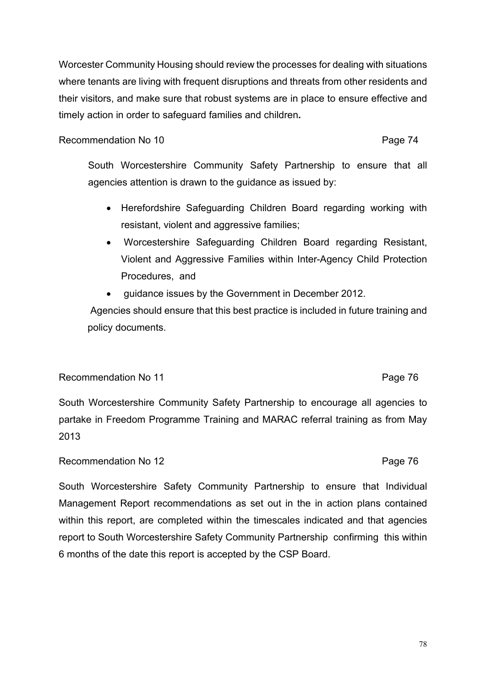Worcester Community Housing should review the processes for dealing with situations where tenants are living with frequent disruptions and threats from other residents and their visitors, and make sure that robust systems are in place to ensure effective and timely action in order to safeguard families and children**.**

Recommendation No 10 Page 74

South Worcestershire Community Safety Partnership to ensure that all agencies attention is drawn to the guidance as issued by:

- Herefordshire Safeguarding Children Board regarding working with resistant, violent and aggressive families;
- Worcestershire Safeguarding Children Board regarding Resistant, Violent and Aggressive Families within Inter-Agency Child Protection Procedures, and
- guidance issues by the Government in December 2012.

Agencies should ensure that this best practice is included in future training and policy documents.

### Recommendation No 11 **Page 76**

South Worcestershire Community Safety Partnership to encourage all agencies to partake in Freedom Programme Training and MARAC referral training as from May 2013

### Recommendation No 12 and 12 and 12 and 12 and 12 and 12 and 12 and 13 and 14 and 15 and 16 and 16 and 16 and 16 and 16 and 16 and 16 and 16 and 16 and 16 and 16 and 16 and 16 and 16 and 16 and 16 and 16 and 16 and 16 and 1

South Worcestershire Safety Community Partnership to ensure that Individual Management Report recommendations as set out in the in action plans contained within this report, are completed within the timescales indicated and that agencies report to South Worcestershire Safety Community Partnership confirming this within 6 months of the date this report is accepted by the CSP Board.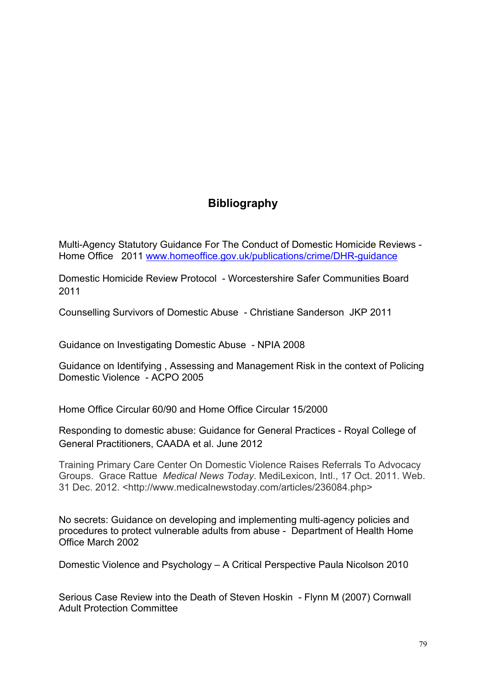## **Bibliography**

Multi-Agency Statutory Guidance For The Conduct of Domestic Homicide Reviews - Home Office 2011 [www.homeoffice.gov.uk/publications/crime/DHR-guidance](http://www.homeoffice.gov.uk/publications/crime/DHR-guidance)

Domestic Homicide Review Protocol - Worcestershire Safer Communities Board 2011

Counselling Survivors of Domestic Abuse - Christiane Sanderson JKP 2011

Guidance on Investigating Domestic Abuse - NPIA 2008

Guidance on Identifying , Assessing and Management Risk in the context of Policing Domestic Violence - ACPO 2005

Home Office Circular 60/90 and Home Office Circular 15/2000

Responding to domestic abuse: Guidance for General Practices - Royal College of General Practitioners, CAADA et al. June 2012

Training Primary Care Center On Domestic Violence Raises Referrals To Advocacy Groups. Grace Rattue *Medical News Today*. MediLexicon, Intl., 17 Oct. 2011. Web. 31 Dec. 2012. <http://www.medicalnewstoday.com/articles/236084.php>

No secrets: Guidance on developing and implementing multi-agency policies and procedures to protect vulnerable adults from abuse - Department of Health Home Office March 2002

Domestic Violence and Psychology – A Critical Perspective Paula Nicolson 2010

Serious Case Review into the Death of Steven Hoskin - Flynn M (2007) Cornwall Adult Protection Committee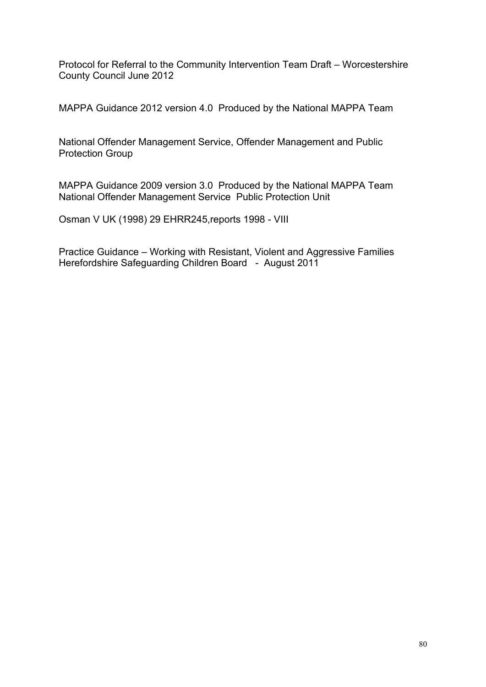Protocol for Referral to the Community Intervention Team Draft – Worcestershire County Council June 2012

MAPPA Guidance 2012 version 4.0 Produced by the National MAPPA Team

National Offender Management Service, Offender Management and Public Protection Group

MAPPA Guidance 2009 version 3.0 Produced by the National MAPPA Team National Offender Management Service Public Protection Unit

Osman V UK (1998) 29 EHRR245,reports 1998 - VIII

Practice Guidance – Working with Resistant, Violent and Aggressive Families Herefordshire Safeguarding Children Board - August 2011